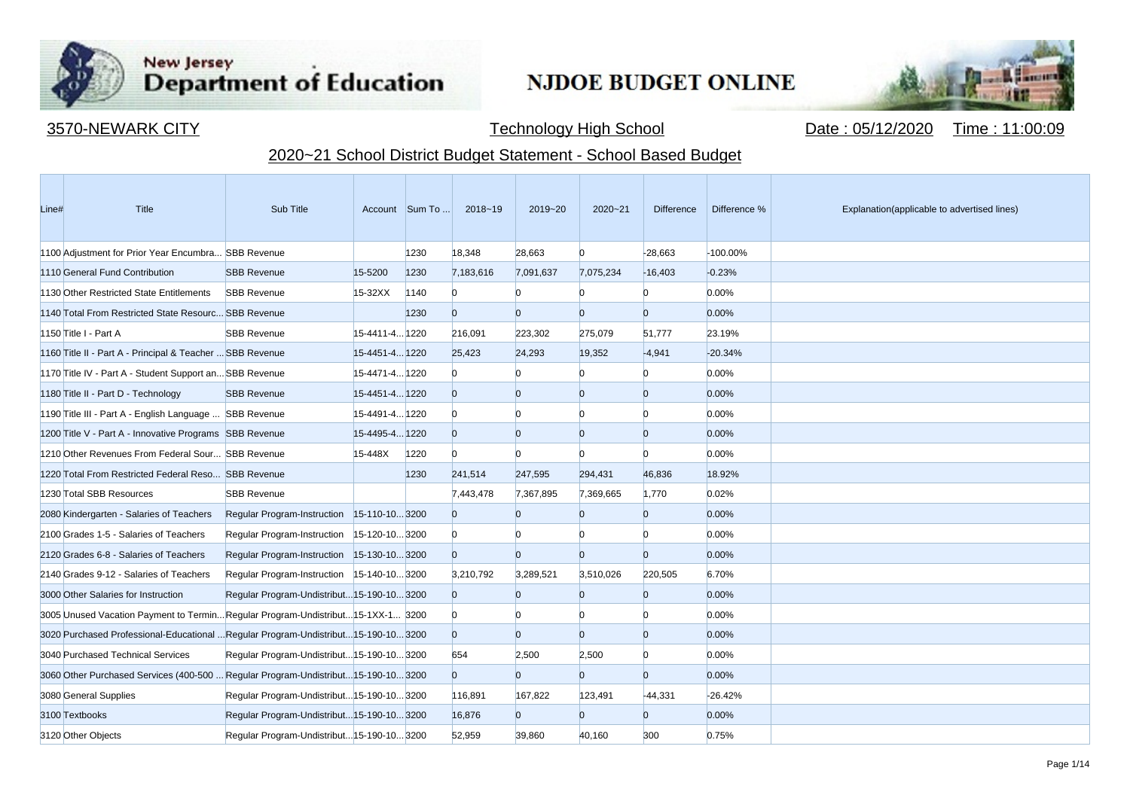

**Contract Contract** 

## New Jersey<br>Department of Education

## **NJDOE BUDGET ONLINE**



3570-NEWARK CITY **Technology High School** Date : 05/12/2020 Time : 11:00:09

## 2020~21 School District Budget Statement - School Based Budget

| Line# | Title                                                                            | Sub Title                                  |                | Account Sum To | 2018~19        | 2019~20        | $2020 - 21$    | <b>Difference</b> | Difference % | Explanation(applicable to advertised lines) |
|-------|----------------------------------------------------------------------------------|--------------------------------------------|----------------|----------------|----------------|----------------|----------------|-------------------|--------------|---------------------------------------------|
|       | 1100 Adjustment for Prior Year Encumbra SBB Revenue                              |                                            |                | 1230           | 18,348         | 28,663         | $\overline{0}$ | $-28,663$         | -100.00%     |                                             |
|       | 1110 General Fund Contribution                                                   | <b>SBB Revenue</b>                         | 15-5200        | 1230           | 7,183,616      | 7,091,637      | 7,075,234      | $-16,403$         | $-0.23%$     |                                             |
|       | 1130 Other Restricted State Entitlements                                         | <b>SBB Revenue</b>                         | 15-32XX        | 1140           | $\Omega$       | $\Omega$       |                | n.                | 0.00%        |                                             |
|       | 1140 Total From Restricted State Resourc SBB Revenue                             |                                            |                | 1230           | $\overline{0}$ | $\Omega$       | $\Omega$       | $\overline{0}$    | 0.00%        |                                             |
|       | 1150 Title I - Part A                                                            | <b>SBB Revenue</b>                         | 15-4411-4 1220 |                | 216,091        | 223,302        | 275,079        | 51,777            | 23.19%       |                                             |
|       | 1160 Title II - Part A - Principal & Teacher  SBB Revenue                        |                                            | 15-4451-4 1220 |                | 25,423         | 24,293         | 19,352         | $-4,941$          | $-20.34%$    |                                             |
|       | 1170 Title IV - Part A - Student Support an SBB Revenue                          |                                            | 15-4471-4 1220 |                | $\Omega$       |                | n              | $\mathbf{0}$      | 0.00%        |                                             |
|       | 1180 Title II - Part D - Technology                                              | <b>SBB Revenue</b>                         | 15-4451-4 1220 |                | $\overline{0}$ | $\Omega$       | $\Omega$       | $\overline{0}$    | 0.00%        |                                             |
|       | 1190 Title III - Part A - English Language  SBB Revenue                          |                                            | 15-4491-4 1220 |                | $\Omega$       | $\Omega$       | n              | <sup>0</sup>      | 0.00%        |                                             |
|       | 1200 Title V - Part A - Innovative Programs SBB Revenue                          |                                            | 15-4495-4 1220 |                | $\overline{0}$ | $\Omega$       | $\Omega$       | $\overline{0}$    | 0.00%        |                                             |
|       | 1210 Other Revenues From Federal Sour SBB Revenue                                |                                            | 15-448X        | 1220           | $\Omega$       | $\Omega$       |                | <sup>0</sup>      | 0.00%        |                                             |
|       | 1220 Total From Restricted Federal Reso SBB Revenue                              |                                            |                | 1230           | 241,514        | 247,595        | 294,431        | 46,836            | 18.92%       |                                             |
|       | 1230 Total SBB Resources                                                         | <b>SBB Revenue</b>                         |                |                | 7,443,478      | 7,367,895      | 7,369,665      | 1,770             | 0.02%        |                                             |
|       | 2080 Kindergarten - Salaries of Teachers                                         | Regular Program-Instruction 15-110-103200  |                |                | $\overline{0}$ | $\overline{0}$ | n              | $\overline{0}$    | 0.00%        |                                             |
|       | 2100 Grades 1-5 - Salaries of Teachers                                           | Regular Program-Instruction 15-120-10 3200 |                |                | $\overline{0}$ | n              | n              | <sup>0</sup>      | 0.00%        |                                             |
|       | 2120 Grades 6-8 - Salaries of Teachers                                           | Regular Program-Instruction 15-130-103200  |                |                | $\overline{0}$ | $\Omega$       | $\Omega$       | $\overline{0}$    | 0.00%        |                                             |
|       | 2140 Grades 9-12 - Salaries of Teachers                                          | Regular Program-Instruction 15-140-103200  |                |                | 3,210,792      | 3,289,521      | 3,510,026      | 220,505           | 6.70%        |                                             |
|       | 3000 Other Salaries for Instruction                                              | Regular Program-Undistribut 15-190-10 3200 |                |                | $\overline{0}$ | $\overline{0}$ | $\Omega$       | $\overline{0}$    | 0.00%        |                                             |
|       | 3005 Unused Vacation Payment to TerminRegular Program-Undistribut15-1XX-1 3200   |                                            |                |                | $\overline{0}$ | $\Omega$       |                | $\overline{0}$    | 0.00%        |                                             |
|       | 3020 Purchased Professional-Educational Regular Program-Undistribut15-190-103200 |                                            |                |                | $\overline{0}$ | $\overline{0}$ | n              | $\overline{0}$    | 0.00%        |                                             |
|       | 3040 Purchased Technical Services                                                | Regular Program-Undistribut 15-190-10 3200 |                |                | 654            | 2,500          | 2,500          | $\overline{0}$    | 0.00%        |                                             |
|       | 3060 Other Purchased Services (400-500  Regular Program-Undistribut15-190-103200 |                                            |                |                | $\overline{0}$ | $\overline{0}$ | $\Omega$       | $\overline{0}$    | 0.00%        |                                             |
|       | 3080 General Supplies                                                            | Regular Program-Undistribut 15-190-10 3200 |                |                | 116,891        | 167,822        | 123,491        | $-44,331$         | $-26.42%$    |                                             |
|       | 3100 Textbooks                                                                   | Regular Program-Undistribut 15-190-10 3200 |                |                | 16,876         | $\overline{0}$ | $\Omega$       | $\overline{0}$    | 0.00%        |                                             |
|       | 3120 Other Objects                                                               | Regular Program-Undistribut15-190-103200   |                |                | 52,959         | 39,860         | 40,160         | 300               | 0.75%        |                                             |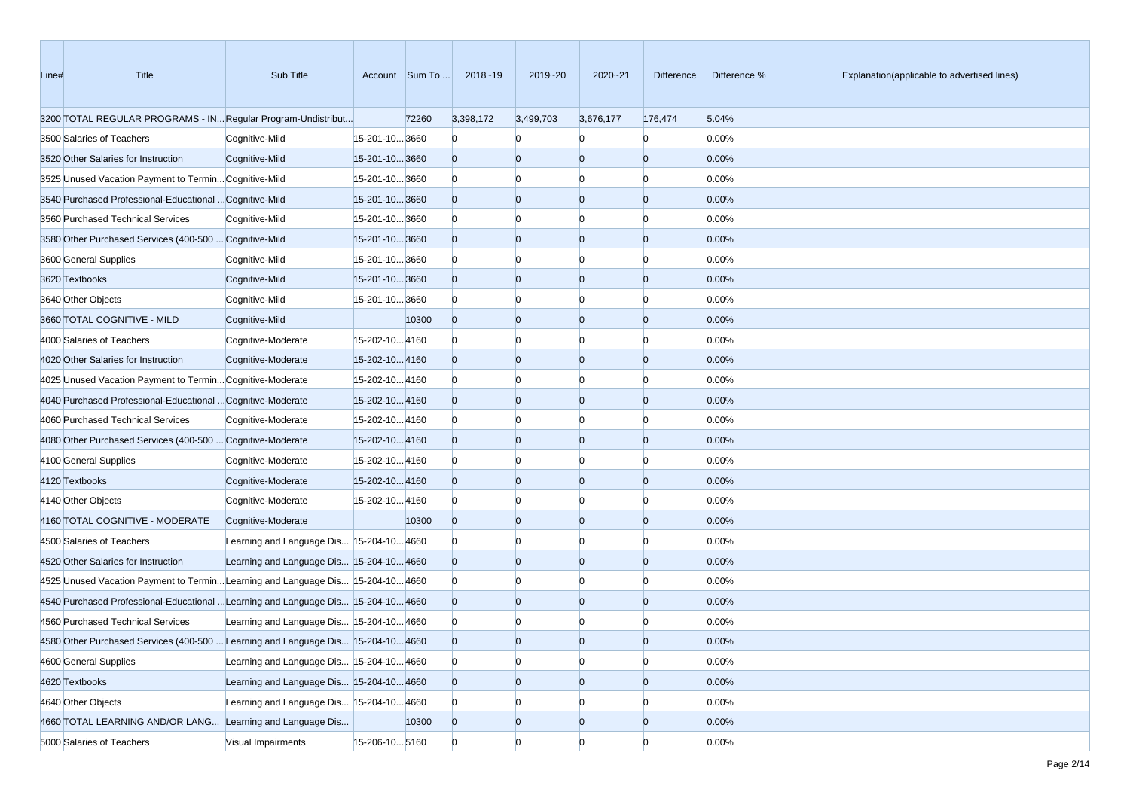| Line# | Title                                                                             | Sub Title                                |                | Account Sum To | 2018~19        | 2019~20        | 2020~21        | Difference     | Difference % | Explanation(applicable to advertised lines) |
|-------|-----------------------------------------------------------------------------------|------------------------------------------|----------------|----------------|----------------|----------------|----------------|----------------|--------------|---------------------------------------------|
|       | 3200 TOTAL REGULAR PROGRAMS - IN Regular Program-Undistribut                      |                                          |                | 72260          | 3,398,172      | 3,499,703      | 3,676,177      | 176,474        | 5.04%        |                                             |
|       | 3500 Salaries of Teachers                                                         | Cognitive-Mild                           | 15-201-10 3660 |                | $\bf{0}$       | $\Omega$       | n              | $\Omega$       | 0.00%        |                                             |
|       | 3520 Other Salaries for Instruction                                               | Cognitive-Mild                           | 15-201-103660  |                | $\overline{0}$ | $\overline{0}$ | $\overline{0}$ | $\overline{0}$ | 0.00%        |                                             |
|       | 3525 Unused Vacation Payment to Termin Cognitive-Mild                             |                                          | 15-201-103660  |                | $\bf{0}$       | $\Omega$       | Ю              | n              | 0.00%        |                                             |
|       | 3540 Purchased Professional-Educational  Cognitive-Mild                           |                                          | 15-201-103660  |                | $\overline{0}$ | $\overline{0}$ | $\overline{0}$ | $\Omega$       | 0.00%        |                                             |
|       | 3560 Purchased Technical Services                                                 | Cognitive-Mild                           | 15-201-103660  |                | $\bf{0}$       | $\Omega$       | $\Omega$       | n              | 0.00%        |                                             |
|       | 3580 Other Purchased Services (400-500  Cognitive-Mild                            |                                          | 15-201-103660  |                | $\overline{0}$ | $\overline{0}$ | $\overline{0}$ | $\Omega$       | 0.00%        |                                             |
|       | 3600 General Supplies                                                             | Cognitive-Mild                           | 15-201-103660  |                | $\Omega$       | $\Omega$       | $\Omega$       | n              | 0.00%        |                                             |
|       | 3620 Textbooks                                                                    | Cognitive-Mild                           | 15-201-10 3660 |                | $\overline{0}$ | $\overline{0}$ | $\overline{0}$ | $\Omega$       | 0.00%        |                                             |
|       | 3640 Other Objects                                                                | Cognitive-Mild                           | 15-201-103660  |                | $\Omega$       | $\overline{0}$ | $\Omega$       | n              | 0.00%        |                                             |
|       | 3660 TOTAL COGNITIVE - MILD                                                       | Cognitive-Mild                           |                | 10300          | $\overline{0}$ | $\overline{0}$ | $\overline{0}$ | $\overline{0}$ | 0.00%        |                                             |
|       | 4000 Salaries of Teachers                                                         | Cognitive-Moderate                       | 15-202-104160  |                | $\bf{0}$       | $\Omega$       | $\Omega$       | n              | 0.00%        |                                             |
|       | 4020 Other Salaries for Instruction                                               | Cognitive-Moderate                       | 15-202-104160  |                | $\overline{0}$ | $\overline{0}$ | $\overline{0}$ | $\Omega$       | 0.00%        |                                             |
|       | 4025 Unused Vacation Payment to Termin Cognitive-Moderate                         |                                          | 15-202-104160  |                | $\bf{0}$       | $\Omega$       | $\Omega$       | n              | 0.00%        |                                             |
|       | 4040 Purchased Professional-Educational  Cognitive-Moderate                       |                                          | 15-202-104160  |                | $\overline{0}$ | $\overline{0}$ | $\overline{0}$ | $\Omega$       | 0.00%        |                                             |
|       | 4060 Purchased Technical Services                                                 | Cognitive-Moderate                       | 15-202-104160  |                | $\Omega$       | $\Omega$       | $\Omega$       | n              | 0.00%        |                                             |
|       | 4080 Other Purchased Services (400-500  Cognitive-Moderate                        |                                          | 15-202-104160  |                | $\overline{0}$ | $\overline{0}$ | $\overline{0}$ | $\overline{0}$ | 0.00%        |                                             |
|       | 4100 General Supplies                                                             | Cognitive-Moderate                       | 15-202-104160  |                | $\mathbf{0}$   | $\overline{0}$ | $\Omega$       | n              | 0.00%        |                                             |
|       | 4120 Textbooks                                                                    | Cognitive-Moderate                       | 15-202-104160  |                | $\overline{0}$ | $\overline{0}$ | $\overline{0}$ | $\Omega$       | 0.00%        |                                             |
|       | 4140 Other Objects                                                                | Cognitive-Moderate                       | 15-202-104160  |                | $\Omega$       | $\bf{0}$       | $\Omega$       | n              | 0.00%        |                                             |
|       | 4160 TOTAL COGNITIVE - MODERATE                                                   | Cognitive-Moderate                       |                | 10300          | $\mathbf{0}$   | $\overline{0}$ | $\overline{0}$ | $\Omega$       | 0.00%        |                                             |
|       | 4500 Salaries of Teachers                                                         | Learning and Language Dis 15-204-10 4660 |                |                | $\Omega$       | $\Omega$       | $\Omega$       |                | 0.00%        |                                             |
|       | 4520 Other Salaries for Instruction                                               | Learning and Language Dis 15-204-10 4660 |                |                | $\overline{0}$ | $\overline{0}$ | $\overline{0}$ | $\Omega$       | 0.00%        |                                             |
|       | 4525 Unused Vacation Payment to Termin Learning and Language Dis 15-204-10 4660   |                                          |                |                | $\Omega$       | $\Omega$       | $\Omega$       | n              | 0.00%        |                                             |
|       | 4540 Purchased Professional-Educational  Learning and Language Dis 15-204-10 4660 |                                          |                |                | $\overline{0}$ | $\overline{0}$ | $\overline{0}$ | $\Omega$       | 0.00%        |                                             |
|       | 4560 Purchased Technical Services                                                 | Learning and Language Dis 15-204-10 4660 |                |                | $\bf{0}$       |                |                |                | 0.00%        |                                             |
|       | 4580 Other Purchased Services (400-500  Learning and Language Dis 15-204-10 4660  |                                          |                |                | $\Omega$       | $\Omega$       | $\Omega$       |                | 0.00%        |                                             |
|       | 4600 General Supplies                                                             | Learning and Language Dis 15-204-10 4660 |                |                | $\overline{0}$ | $\overline{0}$ | $\overline{0}$ | $\overline{0}$ | 0.00%        |                                             |
|       | 4620 Textbooks                                                                    | Learning and Language Dis 15-204-10 4660 |                |                | $\overline{0}$ | $\overline{0}$ | $\overline{0}$ | $\mathbf{0}$   | 0.00%        |                                             |
|       | 4640 Other Objects                                                                | Learning and Language Dis 15-204-104660  |                |                | $\Omega$       | $\overline{0}$ | $\bf{0}$       |                | 0.00%        |                                             |
|       | 4660 TOTAL LEARNING AND/OR LANG Learning and Language Dis                         |                                          |                | 10300          | $\overline{0}$ | $\overline{0}$ | $\overline{0}$ | $\overline{0}$ | 0.00%        |                                             |
|       | 5000 Salaries of Teachers                                                         | Visual Impairments                       | 15-206-10 5160 |                | $\overline{0}$ | $\overline{0}$ | $\overline{0}$ | $\overline{0}$ | 0.00%        |                                             |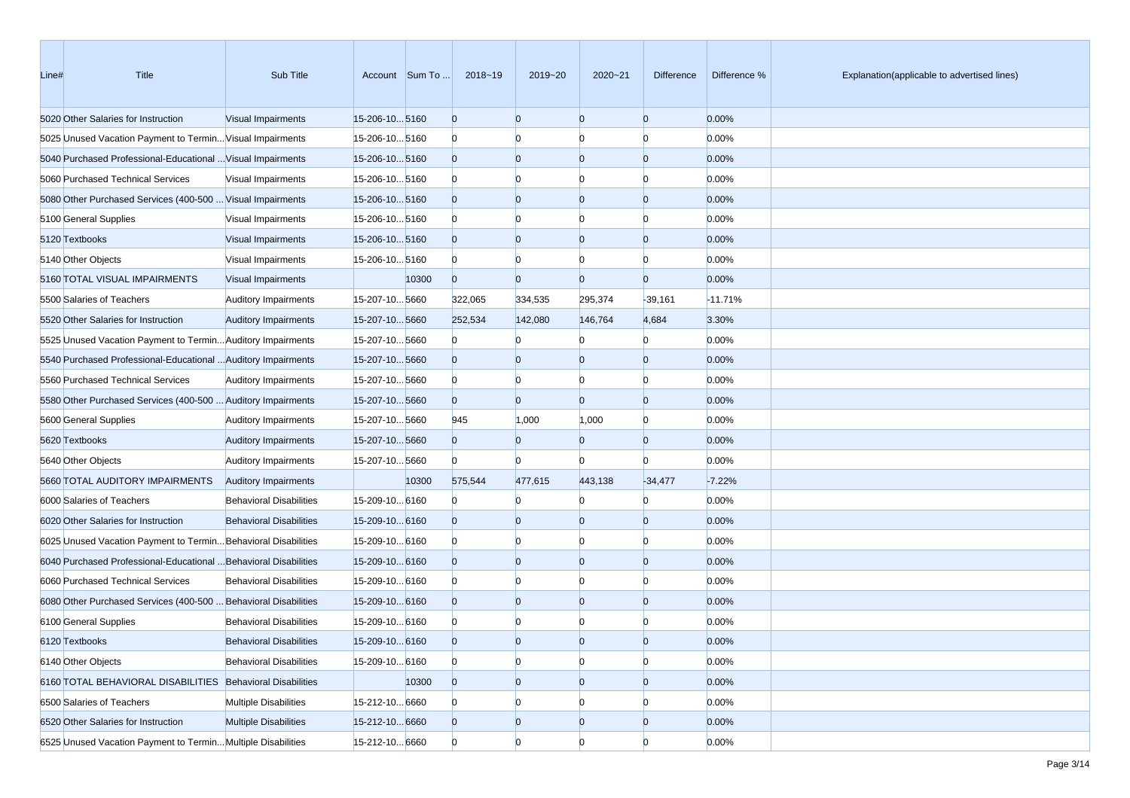| Line# | Title                                                            | Sub Title                      |                      | Account Sum To | 2018~19        | 2019~20        | 2020~21        | Difference     | Difference % | Explanation(applicable to advertised lines) |
|-------|------------------------------------------------------------------|--------------------------------|----------------------|----------------|----------------|----------------|----------------|----------------|--------------|---------------------------------------------|
|       | 5020 Other Salaries for Instruction                              | Visual Impairments             | 15-206-105160        |                | $\overline{0}$ | $\overline{0}$ | $\overline{0}$ | $\overline{0}$ | 0.00%        |                                             |
|       | 5025 Unused Vacation Payment to Termin Visual Impairments        |                                | 15-206-105160        |                | $\mathbf{0}$   | $\Omega$       | $\Omega$       | $\Omega$       | 0.00%        |                                             |
|       | 5040 Purchased Professional-Educational  Visual Impairments      |                                | 15-206-105160        |                | $\overline{0}$ | $\overline{0}$ | $\overline{0}$ | $\overline{0}$ | 0.00%        |                                             |
|       | 5060 Purchased Technical Services                                | Visual Impairments             | 15-206-10 5160       |                | $\mathbf{0}$   | $\Omega$       | $\Omega$       | n              | 0.00%        |                                             |
|       | 5080 Other Purchased Services (400-500  Visual Impairments       |                                | 15-206-105160        |                | $\overline{0}$ | $\Omega$       | $\overline{0}$ | $\Omega$       | 0.00%        |                                             |
|       | 5100 General Supplies                                            | Visual Impairments             | 15-206-105160        |                | $\mathbf{0}$   | $\Omega$       | $\Omega$       | n              | 0.00%        |                                             |
|       | 5120 Textbooks                                                   | Visual Impairments             | 15-206-10 5160       |                | $\overline{0}$ | $\overline{0}$ | $\overline{0}$ | $\overline{0}$ | 0.00%        |                                             |
|       | 5140 Other Objects                                               | Visual Impairments             | 15-206-10 5160       |                | $\mathbf{0}$   | $\Omega$       | $\Omega$       | $\Omega$       | 0.00%        |                                             |
|       | 5160 TOTAL VISUAL IMPAIRMENTS                                    | Visual Impairments             |                      | 10300          | $\overline{0}$ | $\Omega$       | $\overline{0}$ | $\overline{0}$ | 0.00%        |                                             |
|       | 5500 Salaries of Teachers                                        | <b>Auditory Impairments</b>    | 15-207-105660        |                | 322,065        | 334,535        | 295,374        | $-39,161$      | $-11.71%$    |                                             |
|       | 5520 Other Salaries for Instruction                              | <b>Auditory Impairments</b>    | 15-207-105660        |                | 252,534        | 142,080        | 146,764        | 4,684          | 3.30%        |                                             |
|       | 5525 Unused Vacation Payment to Termin Auditory Impairments      |                                | 15-207-105660        |                | $\mathbf{0}$   |                | n              | $\Omega$       | 0.00%        |                                             |
|       | 5540 Purchased Professional-Educational  Auditory Impairments    |                                | 15-207-10 5660       |                | $\overline{0}$ | $\Omega$       | $\overline{0}$ | $\overline{0}$ | 0.00%        |                                             |
|       | 5560 Purchased Technical Services                                | <b>Auditory Impairments</b>    | 15-207-105660        |                | $\mathbf{0}$   | $\Omega$       | $\Omega$       | $\Omega$       | 0.00%        |                                             |
|       | 5580 Other Purchased Services (400-500  Auditory Impairments     |                                | 15-207-105660        |                | $\overline{0}$ | $\Omega$       | $\Omega$       | $\overline{0}$ | 0.00%        |                                             |
|       | 5600 General Supplies                                            | <b>Auditory Impairments</b>    | 15-207-105660        |                | 945            | 1,000          | 1,000          | $\Omega$       | 0.00%        |                                             |
|       | 5620 Textbooks                                                   | <b>Auditory Impairments</b>    | 15-207-10 5660       |                | $\overline{0}$ | $\Omega$       | $\Omega$       | $\overline{0}$ | 0.00%        |                                             |
|       | 5640 Other Objects                                               | <b>Auditory Impairments</b>    | 15-207-105660        |                | $\Omega$       |                | $\Omega$       | n              | 0.00%        |                                             |
|       | 5660 TOTAL AUDITORY IMPAIRMENTS                                  | <b>Auditory Impairments</b>    |                      | 10300          | 575,544        | 477,615        | 443,138        | $-34,477$      | $-7.22%$     |                                             |
|       | 6000 Salaries of Teachers                                        | <b>Behavioral Disabilities</b> | 15-209-10 6160       |                | $\mathbf{0}$   |                | $\Omega$       | $\Omega$       | 0.00%        |                                             |
|       | 6020 Other Salaries for Instruction                              | <b>Behavioral Disabilities</b> | 15-209-10 6160       |                | $\mathbf{0}$   | $\Omega$       | $\overline{0}$ | $\overline{0}$ | 0.00%        |                                             |
|       | 6025 Unused Vacation Payment to Termin Behavioral Disabilities   |                                | 15-209-10 6160       |                | $\mathbf{0}$   | $\Omega$       | $\Omega$       | n              | 0.00%        |                                             |
|       | 6040 Purchased Professional-Educational  Behavioral Disabilities |                                | $15 - 209 - 10 6160$ |                | $\overline{0}$ | $\Omega$       | $\overline{0}$ | $\Omega$       | 0.00%        |                                             |
|       | 6060 Purchased Technical Services                                | <b>Behavioral Disabilities</b> | 15-209-10 6160       |                | $\mathbf{0}$   | $\Omega$       | $\Omega$       | n              | 0.00%        |                                             |
|       | 6080 Other Purchased Services (400-500  Behavioral Disabilities  |                                | 15-209-10 6160       |                | $\overline{0}$ | $\Omega$       | $\overline{0}$ | $\Omega$       | 0.00%        |                                             |
|       | 6100 General Supplies                                            | <b>Behavioral Disabilities</b> | 15-209-10 6160       |                | $\mathbf{0}$   |                |                |                | 0.00%        |                                             |
|       | 6120 Textbooks                                                   | <b>Behavioral Disabilities</b> | 15-209-10 6160       |                | $\Omega$       | $\Omega$       |                |                | 0.00%        |                                             |
|       | 6140 Other Objects                                               | <b>Behavioral Disabilities</b> | 15-209-10 6160       |                | $\overline{0}$ | $\bf{0}$       | $\overline{0}$ | $\overline{0}$ | 0.00%        |                                             |
|       | 6160 TOTAL BEHAVIORAL DISABILITIES Behavioral Disabilities       |                                |                      | 10300          | $\overline{0}$ | $\overline{0}$ | $\overline{0}$ | $\overline{0}$ | 0.00%        |                                             |
|       | 6500 Salaries of Teachers                                        | <b>Multiple Disabilities</b>   | 15-212-10 6660       |                | $\overline{0}$ | $\Omega$       | $\overline{0}$ | n              | 0.00%        |                                             |
|       | 6520 Other Salaries for Instruction                              | <b>Multiple Disabilities</b>   | 15-212-10 6660       |                | $\overline{0}$ | $\overline{0}$ | $\overline{0}$ | $\overline{0}$ | 0.00%        |                                             |
|       | 6525 Unused Vacation Payment to Termin Multiple Disabilities     |                                | 15-212-10 6660       |                | $\overline{0}$ | $\overline{0}$ | $\Omega$       | $\overline{0}$ | 0.00%        |                                             |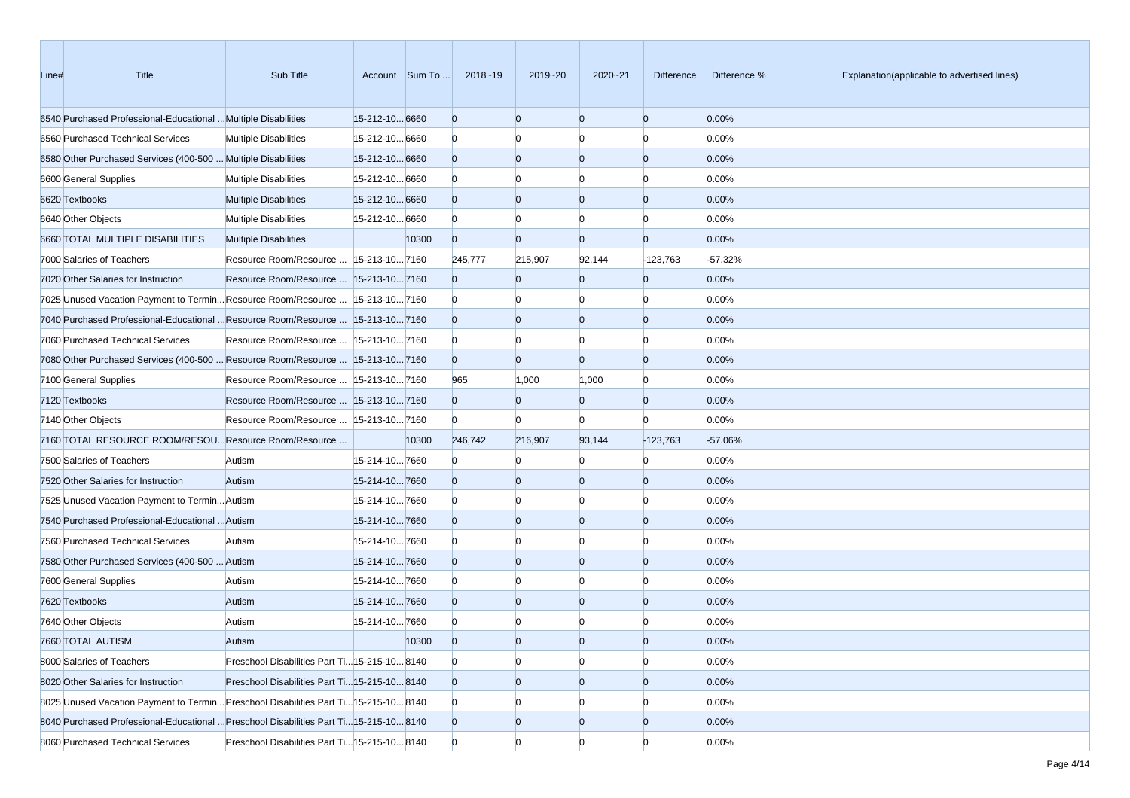| Line# | Title                                                                                 | Sub Title                                     |                | Account Sum To | 2018~19        | 2019~20        | 2020~21        | Difference     | Difference % | Explanation(applicable to advertised lines) |
|-------|---------------------------------------------------------------------------------------|-----------------------------------------------|----------------|----------------|----------------|----------------|----------------|----------------|--------------|---------------------------------------------|
|       | 6540 Purchased Professional-Educational  Multiple Disabilities                        |                                               | 15-212-10 6660 |                | $\overline{0}$ | $\overline{0}$ | $\overline{0}$ | $\overline{0}$ | 0.00%        |                                             |
|       | 6560 Purchased Technical Services                                                     | <b>Multiple Disabilities</b>                  | 15-212-10 6660 |                | $\mathbf{0}$   | $\Omega$       | $\Omega$       | $\Omega$       | 0.00%        |                                             |
|       | 6580 Other Purchased Services (400-500  Multiple Disabilities                         |                                               | 15-212-10 6660 |                | $\overline{0}$ | $\overline{0}$ | $\overline{0}$ | $\overline{0}$ | 0.00%        |                                             |
|       | 6600 General Supplies                                                                 | <b>Multiple Disabilities</b>                  | 15-212-10 6660 |                | $\Omega$       | $\Omega$       | $\Omega$       | $\Omega$       | 0.00%        |                                             |
|       | 6620 Textbooks                                                                        | <b>Multiple Disabilities</b>                  | 15-212-10 6660 |                | $\overline{0}$ | $\overline{0}$ | $\overline{0}$ | $\Omega$       | 0.00%        |                                             |
|       | 6640 Other Objects                                                                    | <b>Multiple Disabilities</b>                  | 15-212-10 6660 |                | $\mathbf{0}$   | $\Omega$       | $\Omega$       | n              | 0.00%        |                                             |
|       | 6660 TOTAL MULTIPLE DISABILITIES                                                      | <b>Multiple Disabilities</b>                  |                | 10300          | $\overline{0}$ | $\Omega$       | $\Omega$       | $\Omega$       | 0.00%        |                                             |
|       | 7000 Salaries of Teachers                                                             | Resource Room/Resource   15-213-10 7160       |                |                | 245,777        | 215,907        | 92,144         | $-123,763$     | $-57.32%$    |                                             |
|       | 7020 Other Salaries for Instruction                                                   | Resource Room/Resource  15-213-107160         |                |                | $\overline{0}$ | $\overline{0}$ | $\Omega$       | $\mathbf{0}$   | 0.00%        |                                             |
|       | 7025 Unused Vacation Payment to TerminResource Room/Resource  15-213-107160           |                                               |                |                | $\bf{0}$       | $\Omega$       | $\Omega$       | $\Omega$       | 0.00%        |                                             |
|       | 7040 Purchased Professional-Educational  Resource Room/Resource  15-213-10 7160       |                                               |                |                | $\overline{0}$ | $\overline{0}$ | $\overline{0}$ | $\overline{0}$ | 0.00%        |                                             |
|       | 7060 Purchased Technical Services                                                     | Resource Room/Resource   15-213-10 7160       |                |                | $\Omega$       | $\overline{0}$ | $\Omega$       | n              | 0.00%        |                                             |
|       | 7080 Other Purchased Services (400-500  Resource Room/Resource  15-213-10 7160        |                                               |                |                | $\overline{0}$ | $\Omega$       | $\Omega$       | $\Omega$       | 0.00%        |                                             |
|       | 7100 General Supplies                                                                 | Resource Room/Resource   15-213-10 7160       |                |                | 965            | 1,000          | 1,000          | $\Omega$       | 0.00%        |                                             |
|       | 7120 Textbooks                                                                        | Resource Room/Resource   15-213-10 7160       |                |                | $\overline{0}$ | $\overline{0}$ | $\Omega$       | $\overline{0}$ | 0.00%        |                                             |
|       | 7140 Other Objects                                                                    | Resource Room/Resource   15-213-10 7160       |                |                | $\Omega$       | $\Omega$       | n              | n              | 0.00%        |                                             |
|       | 7160 TOTAL RESOURCE ROOM/RESOU Resource Room/Resource                                 |                                               |                | 10300          | 246,742        | 216,907        | 93,144         | $-123,763$     | $-57.06%$    |                                             |
|       | 7500 Salaries of Teachers                                                             | Autism                                        | 15-214-107660  |                | $\mathbf{0}$   | $\Omega$       | $\Omega$       | $\Omega$       | 0.00%        |                                             |
|       | 7520 Other Salaries for Instruction                                                   | Autism                                        | 15-214-107660  |                | $\overline{0}$ | $\overline{0}$ | $\overline{0}$ | $\overline{0}$ | 0.00%        |                                             |
|       | 7525 Unused Vacation Payment to Termin Autism                                         |                                               | 15-214-107660  |                | $\Omega$       | $\Omega$       | $\Omega$       | n              | 0.00%        |                                             |
|       | 7540 Purchased Professional-Educational  Autism                                       |                                               | 15-214-107660  |                | $\overline{0}$ | $\overline{0}$ | $\overline{0}$ | $\Omega$       | 0.00%        |                                             |
|       | 7560 Purchased Technical Services                                                     | Autism                                        | 15-214-107660  |                | $\Omega$       | $\Omega$       | $\Omega$       | n              | 0.00%        |                                             |
|       | 7580 Other Purchased Services (400-500  Autism                                        |                                               | 15-214-107660  |                | $\overline{0}$ | $\overline{0}$ | $\Omega$       | $\Omega$       | 0.00%        |                                             |
|       | 7600 General Supplies                                                                 | Autism                                        | 15-214-107660  |                | $\Omega$       | $\Omega$       | $\Omega$       | n              | 0.00%        |                                             |
|       | 7620 Textbooks                                                                        | Autism                                        | 15-214-107660  |                | $\overline{0}$ | $\overline{0}$ | $\overline{0}$ | $\Omega$       | 0.00%        |                                             |
|       | 7640 Other Objects                                                                    | Autism                                        | 15-214-107660  |                | $\Omega$       |                |                |                | 0.00%        |                                             |
|       | 7660 TOTAL AUTISM                                                                     | Autism                                        |                | 10300          | $\Omega$       | $\Omega$       | $\Omega$       |                | 0.00%        |                                             |
|       | 8000 Salaries of Teachers                                                             | Preschool Disabilities Part Ti 15-215-10 8140 |                |                | $\mathbf{0}$   | $\overline{0}$ | $\overline{0}$ | $\overline{0}$ | 0.00%        |                                             |
|       | 8020 Other Salaries for Instruction                                                   | Preschool Disabilities Part Ti 15-215-10 8140 |                |                | $\overline{0}$ | $\overline{0}$ | $\mathbf{0}$   | $\overline{0}$ | 0.00%        |                                             |
|       | 8025 Unused Vacation Payment to Termin Preschool Disabilities Part Ti 15-215-10 8140  |                                               |                |                | $\mathbf{0}$   | $\bf{0}$       | $\bf{0}$       | n              | 0.00%        |                                             |
|       | 8040 Purchased Professional-Educational  Preschool Disabilities Part Ti15-215-10 8140 |                                               |                |                | $\overline{0}$ | $\mathbf{0}$   | $\mathbf{0}$   | $\overline{0}$ | 0.00%        |                                             |
|       | 8060 Purchased Technical Services                                                     | Preschool Disabilities Part Ti 15-215-10 8140 |                |                | $\mathbf{0}$   | $\overline{0}$ | $\Omega$       | $\Omega$       | 0.00%        |                                             |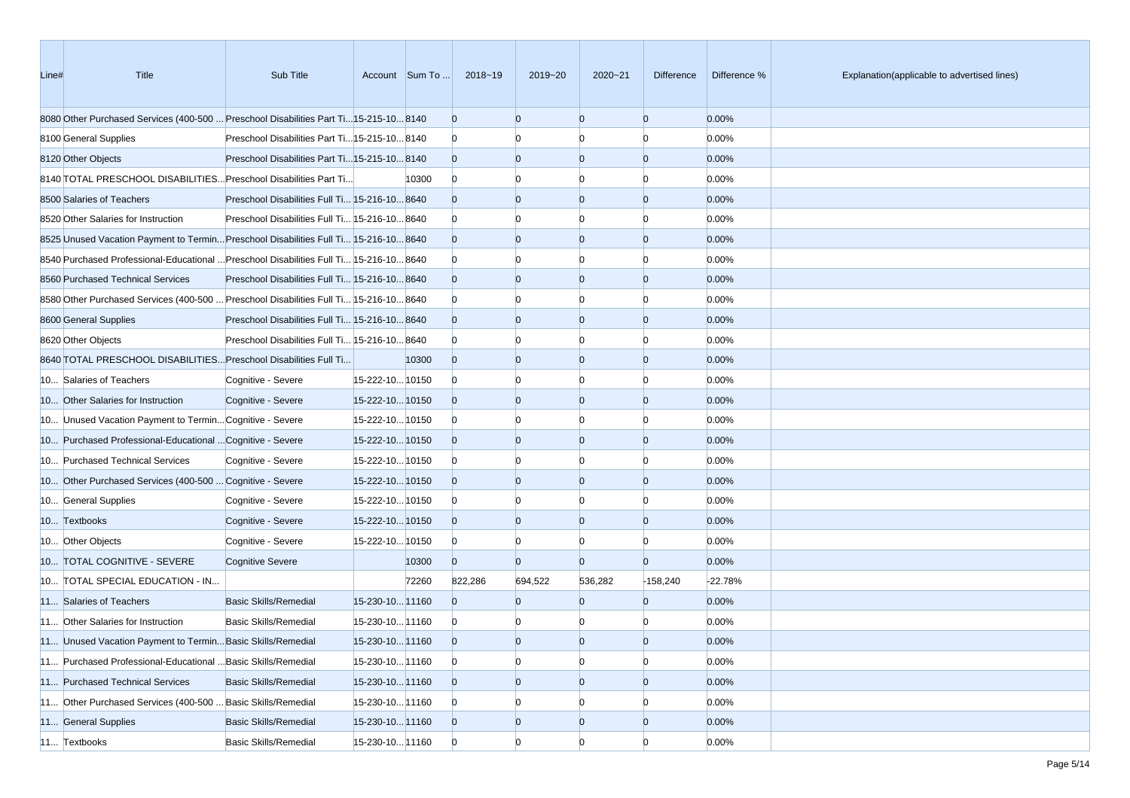| Line# | Title                                                                                  | Sub Title                                     |                 | Account Sum To | 2018~19        | 2019~20        | 2020~21        | Difference     | Difference % | Explanation(applicable to advertised lines) |
|-------|----------------------------------------------------------------------------------------|-----------------------------------------------|-----------------|----------------|----------------|----------------|----------------|----------------|--------------|---------------------------------------------|
|       | 8080 Other Purchased Services (400-500  Preschool Disabilities Part Ti15-215-10 8140   |                                               |                 |                | $\mathbf{0}$   | $\overline{0}$ | $\overline{0}$ | $\mathbf{0}$   | 0.00%        |                                             |
|       | 8100 General Supplies                                                                  | Preschool Disabilities Part Ti 15-215-10 8140 |                 |                | $\mathbf{0}$   | n              |                | n              | 0.00%        |                                             |
|       | 8120 Other Objects                                                                     | Preschool Disabilities Part Ti 15-215-10 8140 |                 |                | $\overline{0}$ | $\overline{0}$ | $\overline{0}$ | $\mathbf{0}$   | 0.00%        |                                             |
|       | 8140 TOTAL PRESCHOOL DISABILITIES Preschool Disabilities Part Ti                       |                                               |                 | 10300          | $\mathbf{0}$   | $\Omega$       | n              | n              | 0.00%        |                                             |
|       | 8500 Salaries of Teachers                                                              | Preschool Disabilities Full Ti 15-216-10 8640 |                 |                | $\mathbf{0}$   | $\overline{0}$ | $\overline{0}$ | $\mathbf{0}$   | 0.00%        |                                             |
|       | 8520 Other Salaries for Instruction                                                    | Preschool Disabilities Full Ti 15-216-10 8640 |                 |                | $\mathbf{0}$   | $\Omega$       | $\Omega$       | $\Omega$       | 0.00%        |                                             |
|       | 8525 Unused Vacation Payment to Termin Preschool Disabilities Full Ti 15-216-10 8640   |                                               |                 |                | $\overline{0}$ | $\overline{0}$ | $\overline{0}$ | $\mathbf{0}$   | 0.00%        |                                             |
|       | 8640 Purchased Professional-Educational  Preschool Disabilities Full Ti 15-216-10 8640 |                                               |                 |                | $\bf{0}$       | n              | n              | n              | 0.00%        |                                             |
|       | 8560 Purchased Technical Services                                                      | Preschool Disabilities Full Ti 15-216-10 8640 |                 |                | $\overline{0}$ | $\overline{0}$ | $\overline{0}$ | $\mathbf{0}$   | 0.00%        |                                             |
|       | 8680 Other Purchased Services (400-500  Preschool Disabilities Full Ti 15-216-10 8640  |                                               |                 |                | $\mathbf{0}$   | n              |                | n              | 0.00%        |                                             |
|       | 8600 General Supplies                                                                  | Preschool Disabilities Full Ti 15-216-10 8640 |                 |                | $\overline{0}$ | $\overline{0}$ | $\overline{0}$ | $\mathbf{0}$   | 0.00%        |                                             |
|       | 8620 Other Objects                                                                     | Preschool Disabilities Full Ti 15-216-10 8640 |                 |                | $\bf{0}$       | $\Omega$       | n              | n              | 0.00%        |                                             |
|       | 8640 TOTAL PRESCHOOL DISABILITIES Preschool Disabilities Full Ti                       |                                               |                 | 10300          | $\mathbf{0}$   | $\overline{0}$ | $\overline{0}$ | $\mathbf{0}$   | 0.00%        |                                             |
|       | 10 Salaries of Teachers                                                                | Cognitive - Severe                            | 15-222-10 10150 |                | $\bf{0}$       | $\Omega$       | $\Omega$       | n              | 0.00%        |                                             |
|       | 10 Other Salaries for Instruction                                                      | Cognitive - Severe                            | 15-222-1010150  |                | $\overline{0}$ | $\overline{0}$ | $\overline{0}$ | $\mathbf{0}$   | 0.00%        |                                             |
|       | 10 Unused Vacation Payment to Termin Cognitive - Severe                                |                                               | 15-222-10 10150 |                | $\bf{0}$       | n              | n              | n              | 0.00%        |                                             |
|       | 10 Purchased Professional-Educational  Cognitive - Severe                              |                                               | 15-222-10 10150 |                | $\overline{0}$ | $\overline{0}$ | $\overline{0}$ | $\mathbf{0}$   | 0.00%        |                                             |
|       | 10 Purchased Technical Services                                                        | Cognitive - Severe                            | 15-222-10 10150 |                | $\bf{0}$       | n              |                | n              | 0.00%        |                                             |
|       | 10 Other Purchased Services (400-500  Cognitive - Severe                               |                                               | 15-222-10 10150 |                | $\overline{0}$ | $\overline{0}$ | $\overline{0}$ | $\mathbf{0}$   | 0.00%        |                                             |
|       | 10 General Supplies                                                                    | Cognitive - Severe                            | 15-222-10 10150 |                | $\bf{0}$       | $\Omega$       | n              | $\Omega$       | 0.00%        |                                             |
|       | 10 Textbooks                                                                           | Cognitive - Severe                            | 15-222-10 10150 |                | $\overline{0}$ | $\overline{0}$ | $\overline{0}$ | $\mathbf{0}$   | 0.00%        |                                             |
|       | 10 Other Objects                                                                       | Cognitive - Severe                            | 15-222-10 10150 |                | $\bf{0}$       | $\Omega$       | n              | $\Omega$       | 0.00%        |                                             |
|       | 10 TOTAL COGNITIVE - SEVERE                                                            | <b>Cognitive Severe</b>                       |                 | 10300          | $\overline{0}$ | $\overline{0}$ | $\Omega$       | $\mathbf{0}$   | 0.00%        |                                             |
|       | 10 TOTAL SPECIAL EDUCATION - IN                                                        |                                               |                 | 72260          | 822,286        | 694,522        | 536,282        | $-158,240$     | $-22.78%$    |                                             |
|       | 11 Salaries of Teachers                                                                | <b>Basic Skills/Remedial</b>                  | 15-230-10 11160 |                | $\Omega$       | $\overline{0}$ | $\Omega$       | $\mathbf{0}$   | 0.00%        |                                             |
|       | 11 Other Salaries for Instruction                                                      | <b>Basic Skills/Remedial</b>                  | 15-230-10 11160 |                | $\bf{0}$       | n              |                | n              | 0.00%        |                                             |
|       | 11 Unused Vacation Payment to Termin Basic Skills/Remedial                             |                                               | 15-230-10 11160 |                | $\Omega$       | $\Omega$       | $\Omega$       | $\Omega$       | 0.00%        |                                             |
|       | 11 Purchased Professional-Educational  Basic Skills/Remedial                           |                                               | 15-230-10 11160 |                | $\overline{0}$ | $\overline{0}$ | $\overline{0}$ | $\overline{0}$ | 0.00%        |                                             |
|       | 11 Purchased Technical Services                                                        | <b>Basic Skills/Remedial</b>                  | 15-230-10 11160 |                | $\overline{0}$ | $\mathbf{0}$   | $\overline{0}$ | $\overline{0}$ | 0.00%        |                                             |
|       | 11 Other Purchased Services (400-500  Basic Skills/Remedial                            |                                               | 15-230-10 11160 |                | $\bf{0}$       | $\overline{0}$ |                | $\Omega$       | 0.00%        |                                             |
|       | 11 General Supplies                                                                    | <b>Basic Skills/Remedial</b>                  | 15-230-10 11160 |                | $\overline{0}$ | $\mathbf{0}$   | $\mathbf{0}$   | $\overline{0}$ | 0.00%        |                                             |
|       | 11 Textbooks                                                                           | Basic Skills/Remedial                         | 15-230-10 11160 |                | $\overline{0}$ | $\overline{0}$ | $\Omega$       | $\Omega$       | 0.00%        |                                             |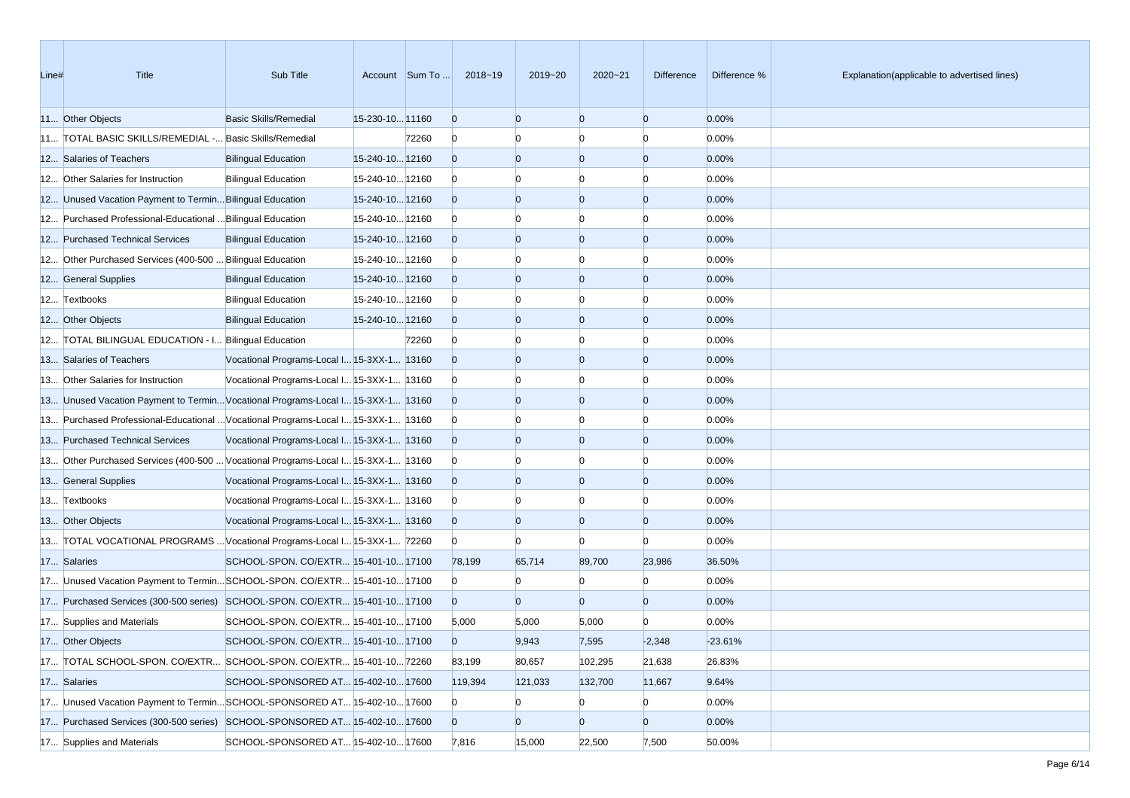| Line# | <b>Title</b>                                                                      | Sub Title                                  |                 | Account Sum To | 2018~19        | 2019~20        | 2020~21        | Difference     | Difference % | Explanation(applicable to advertised lines) |
|-------|-----------------------------------------------------------------------------------|--------------------------------------------|-----------------|----------------|----------------|----------------|----------------|----------------|--------------|---------------------------------------------|
|       | 11 Other Objects                                                                  | Basic Skills/Remedial                      | 15-230-10 11160 |                | $\overline{0}$ | $\Omega$       | $\overline{0}$ | $\overline{0}$ | 0.00%        |                                             |
|       | 11 TOTAL BASIC SKILLS/REMEDIAL - Basic Skills/Remedial                            |                                            |                 | 72260          | $\overline{0}$ |                | $\Omega$       | $\Omega$       | 0.00%        |                                             |
|       | 12 Salaries of Teachers                                                           | <b>Bilingual Education</b>                 | 15-240-10 12160 |                | $\overline{0}$ | $\Omega$       | $\overline{0}$ | $\overline{0}$ | 0.00%        |                                             |
|       | 12 Other Salaries for Instruction                                                 | <b>Bilingual Education</b>                 | 15-240-10 12160 |                | $\overline{0}$ |                |                |                | 0.00%        |                                             |
|       | 12 Unused Vacation Payment to Termin Bilingual Education                          |                                            | 15-240-10 12160 |                | $\overline{0}$ | $\Omega$       | $\overline{0}$ | $\overline{0}$ | 0.00%        |                                             |
|       | 12 Purchased Professional-Educational  Bilingual Education                        |                                            | 15-240-10 12160 |                | $\overline{0}$ |                | $\Omega$       | $\Omega$       | 0.00%        |                                             |
|       | 12 Purchased Technical Services                                                   | <b>Bilingual Education</b>                 | 15-240-10 12160 |                | $\overline{0}$ | $\Omega$       | $\overline{0}$ | $\overline{0}$ | 0.00%        |                                             |
|       | 12 Other Purchased Services (400-500  Bilingual Education                         |                                            | 15-240-10 12160 |                | $\overline{0}$ |                | $\Omega$       | $\Omega$       | 0.00%        |                                             |
|       | 12 General Supplies                                                               | <b>Bilingual Education</b>                 | 15-240-10 12160 |                | $\overline{0}$ | $\Omega$       | $\overline{0}$ | $\overline{0}$ | 0.00%        |                                             |
|       | 12 Textbooks                                                                      | <b>Bilingual Education</b>                 | 15-240-10 12160 |                | $\overline{0}$ |                | n              | $\Omega$       | 0.00%        |                                             |
|       | 12 Other Objects                                                                  | <b>Bilingual Education</b>                 | 15-240-10 12160 |                | $\overline{0}$ | $\Omega$       | $\overline{0}$ | $\overline{0}$ | 0.00%        |                                             |
|       | 12 TOTAL BILINGUAL EDUCATION - I Bilingual Education                              |                                            |                 | 72260          | $\overline{0}$ |                | n              | $\Omega$       | 0.00%        |                                             |
|       | 13 Salaries of Teachers                                                           | Vocational Programs-Local I 15-3XX-1 13160 |                 |                | $\overline{0}$ | $\Omega$       | $\overline{0}$ | $\overline{0}$ | 0.00%        |                                             |
|       | 13 Other Salaries for Instruction                                                 | Vocational Programs-Local I 15-3XX-1 13160 |                 |                | $\overline{0}$ |                | $\Omega$       | $\Omega$       | 0.00%        |                                             |
|       | 13 Unused Vacation Payment to TerminVocational Programs-Local I 15-3XX-1 13160    |                                            |                 |                | $\overline{0}$ | $\Omega$       | $\overline{0}$ | $\overline{0}$ | 0.00%        |                                             |
|       | 13 Purchased Professional-Educational  Vocational Programs-Local I 15-3XX-1 13160 |                                            |                 |                | $\overline{0}$ |                |                | n              | 0.00%        |                                             |
|       | 13 Purchased Technical Services                                                   | Vocational Programs-Local I 15-3XX-1 13160 |                 |                | $\overline{0}$ | $\Omega$       | $\overline{0}$ | $\overline{0}$ | 0.00%        |                                             |
|       | 13 Other Purchased Services (400-500  Vocational Programs-Local I 15-3XX-1 13160  |                                            |                 |                | $\overline{0}$ |                | $\Omega$       | $\Omega$       | 0.00%        |                                             |
|       | 13 General Supplies                                                               | Vocational Programs-Local I 15-3XX-1 13160 |                 |                | $\overline{0}$ | $\Omega$       | $\overline{0}$ | $\overline{0}$ | 0.00%        |                                             |
|       | 13 Textbooks                                                                      | Vocational Programs-Local I 15-3XX-1 13160 |                 |                | $\overline{0}$ |                | $\Omega$       | $\Omega$       | 0.00%        |                                             |
|       | 13 Other Objects                                                                  | Vocational Programs-Local I 15-3XX-1 13160 |                 |                | $\overline{0}$ | $\Omega$       | $\overline{0}$ | $\overline{0}$ | 0.00%        |                                             |
|       | 13 TOTAL VOCATIONAL PROGRAMS  Vocational Programs-Local I 15-3XX-1 72260          |                                            |                 |                | $\overline{0}$ | $\Omega$       | $\Omega$       | n              | 0.00%        |                                             |
|       | 17 Salaries                                                                       | SCHOOL-SPON. CO/EXTR 15-401-10 17100       |                 |                | 78,199         | 65,714         | 89,700         | 23,986         | 36.50%       |                                             |
|       | 17 Unused Vacation Payment to TerminSCHOOL-SPON. CO/EXTR 15-401-10 17100          |                                            |                 |                | $\overline{0}$ | $\Omega$       | $\Omega$       | $\Omega$       | 0.00%        |                                             |
|       | 17 Purchased Services (300-500 series) SCHOOL-SPON. CO/EXTR 15-401-10 17100       |                                            |                 |                | $\overline{0}$ | $\Omega$       | $\overline{0}$ | $\overline{0}$ | 0.00%        |                                             |
|       | 17 Supplies and Materials                                                         | SCHOOL-SPON. CO/EXTR 15-401-10 17100       |                 |                | 5,000          | 5,000          | 5,000          | $\Omega$       | 0.00%        |                                             |
|       | 17 Other Objects                                                                  | SCHOOL-SPON. CO/EXTR 15-401-10 17100       |                 |                | $\Omega$       | 9,943          | 7,595          | $-2,348$       | $-23.61%$    |                                             |
|       | 17 TOTAL SCHOOL-SPON. CO/EXTR SCHOOL-SPON. CO/EXTR 15-401-1072260                 |                                            |                 |                | 83,199         | 80,657         | 102,295        | 21,638         | 26.83%       |                                             |
|       | 17 Salaries                                                                       | SCHOOL-SPONSORED AT 15-402-10 17600        |                 |                | 119,394        | 121,033        | 132,700        | 11,667         | 9.64%        |                                             |
|       | 17 Unused Vacation Payment to TerminSCHOOL-SPONSORED AT 15-402-1017600            |                                            |                 |                | $\mathbf{0}$   | $\mathbf{0}$   | $\overline{0}$ | $\bf{0}$       | 0.00%        |                                             |
|       | 17 Purchased Services (300-500 series) SCHOOL-SPONSORED AT 15-402-10 17600        |                                            |                 |                | $\overline{0}$ | $\overline{0}$ | $\overline{0}$ | $\overline{0}$ | 0.00%        |                                             |
|       | 17 Supplies and Materials                                                         | SCHOOL-SPONSORED AT 15-402-10 17600        |                 |                | 7,816          | 15,000         | 22,500         | 7,500          | 50.00%       |                                             |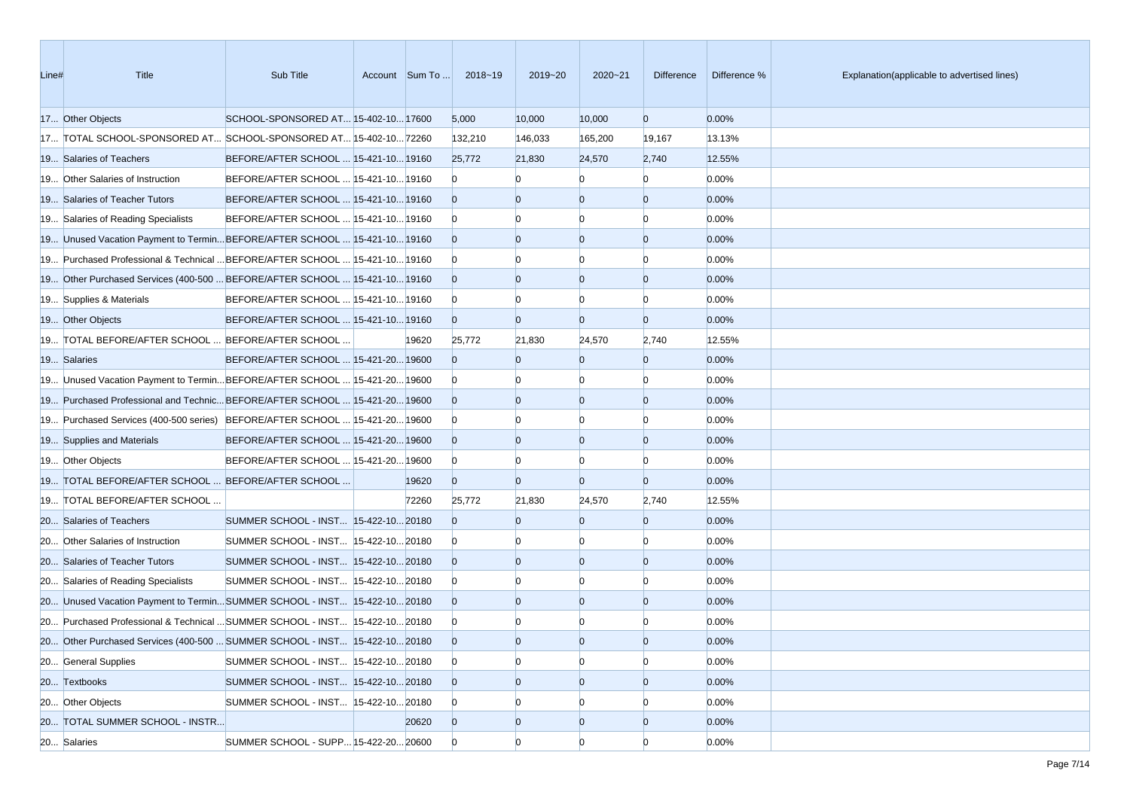| Line# | <b>Title</b>                                                                | Sub Title                             | Account Sum To | 2018~19        | 2019~20        | $2020 - 21$    | Difference     | Difference % | Explanation(applicable to advertised lines) |
|-------|-----------------------------------------------------------------------------|---------------------------------------|----------------|----------------|----------------|----------------|----------------|--------------|---------------------------------------------|
|       | 17 Other Objects                                                            | SCHOOL-SPONSORED AT 15-402-10 17600   |                | 5,000          | 10,000         | 10,000         | $\overline{0}$ | 0.00%        |                                             |
|       | 17 TOTAL SCHOOL-SPONSORED AT SCHOOL-SPONSORED AT 15-402-10 72260            |                                       |                | 132,210        | 146,033        | 165,200        | 19,167         | 13.13%       |                                             |
|       | 19 Salaries of Teachers                                                     | BEFORE/AFTER SCHOOL  15-421-10 19160  |                | 25,772         | 21,830         | 24,570         | 2,740          | 12.55%       |                                             |
|       | 19 Other Salaries of Instruction                                            | BEFORE/AFTER SCHOOL  15-421-10 19160  |                | $\bf{0}$       |                | n              | $\Omega$       | 0.00%        |                                             |
|       | 19 Salaries of Teacher Tutors                                               | BEFORE/AFTER SCHOOL  15-421-10 19160  |                | $\Omega$       | $\Omega$       | $\overline{0}$ | $\overline{0}$ | 0.00%        |                                             |
|       | 19 Salaries of Reading Specialists                                          | BEFORE/AFTER SCHOOL  15-421-10 19160  |                | $\bf{0}$       |                | n              | n              | 0.00%        |                                             |
|       | 19 Unused Vacation Payment to Termin BEFORE/AFTER SCHOOL  15-421-10 19160   |                                       |                | $\overline{0}$ | $\Omega$       | $\overline{0}$ | $\overline{0}$ | 0.00%        |                                             |
|       | 19 Purchased Professional & Technical  BEFORE/AFTER SCHOOL  15-421-10 19160 |                                       |                | $\bf{0}$       |                | n              | n              | 0.00%        |                                             |
|       | 19 Other Purchased Services (400-500  BEFORE/AFTER SCHOOL  15-421-10 19160  |                                       |                | $\overline{0}$ | $\Omega$       | $\overline{0}$ | $\overline{0}$ | 0.00%        |                                             |
|       | 19 Supplies & Materials                                                     | BEFORE/AFTER SCHOOL  15-421-10 19160  |                | $\overline{0}$ |                | $\Omega$       | $\Omega$       | 0.00%        |                                             |
|       | 19 Other Objects                                                            | BEFORE/AFTER SCHOOL  15-421-10 19160  |                | $\overline{0}$ | $\Omega$       | $\overline{0}$ | $\overline{0}$ | 0.00%        |                                             |
|       | 19 TOTAL BEFORE/AFTER SCHOOL  BEFORE/AFTER SCHOOL                           |                                       | 19620          | 25,772         | 21,830         | 24,570         | 2,740          | 12.55%       |                                             |
|       | 19 Salaries                                                                 | BEFORE/AFTER SCHOOL  15-421-20 19600  |                | $\Omega$       |                | $\overline{0}$ | $\overline{0}$ | 0.00%        |                                             |
|       | 19 Unused Vacation Payment to TerminBEFORE/AFTER SCHOOL  15-421-20 19600    |                                       |                | $\bf{0}$       |                | n              | n              | 0.00%        |                                             |
|       | 19 Purchased Professional and Technic BEFORE/AFTER SCHOOL  15-421-20 19600  |                                       |                | $\overline{0}$ | $\Omega$       | $\overline{0}$ | $\overline{0}$ | 0.00%        |                                             |
|       | 19 Purchased Services (400-500 series) BEFORE/AFTER SCHOOL  15-421-20 19600 |                                       |                | $\bf{0}$       |                | $\Omega$       | $\Omega$       | 0.00%        |                                             |
|       | 19 Supplies and Materials                                                   | BEFORE/AFTER SCHOOL  15-421-20 19600  |                | $\overline{0}$ | $\Omega$       | $\overline{0}$ | $\overline{0}$ | 0.00%        |                                             |
|       | 19 Other Objects                                                            | BEFORE/AFTER SCHOOL  15-421-20 19600  |                | $\overline{0}$ |                | n              | n              | 0.00%        |                                             |
|       | 19 TOTAL BEFORE/AFTER SCHOOL  BEFORE/AFTER SCHOOL                           |                                       | 19620          | $\overline{0}$ | $\Omega$       | $\overline{0}$ | $\overline{0}$ | 0.00%        |                                             |
|       | 19 TOTAL BEFORE/AFTER SCHOOL                                                |                                       | 72260          | 25,772         | 21,830         | 24,570         | 2,740          | 12.55%       |                                             |
|       | 20 Salaries of Teachers                                                     | SUMMER SCHOOL - INST 15-422-10 20180  |                | $\Omega$       | $\Omega$       | $\overline{0}$ | $\overline{0}$ | 0.00%        |                                             |
|       | 20 Other Salaries of Instruction                                            | SUMMER SCHOOL - INST  15-422-10 20180 |                | $\bf{0}$       |                | $\Omega$       | $\Omega$       | 0.00%        |                                             |
|       | 20 Salaries of Teacher Tutors                                               | SUMMER SCHOOL - INST 15-422-10 20180  |                | $\overline{0}$ | $\Omega$       | $\overline{0}$ | $\overline{0}$ | 0.00%        |                                             |
|       | 20 Salaries of Reading Specialists                                          | SUMMER SCHOOL - INST  15-422-10 20180 |                | $\bf{0}$       |                | n              | n              | 0.00%        |                                             |
|       | 20 Unused Vacation Payment to Termin SUMMER SCHOOL - INST 15-422-10 20180   |                                       |                | $\overline{0}$ | $\Omega$       | $\overline{0}$ | $\overline{0}$ | 0.00%        |                                             |
|       | 20 Purchased Professional & Technical  SUMMER SCHOOL - INST 15-422-10 20180 |                                       |                | $\bf{0}$       |                |                |                | 0.00%        |                                             |
|       | 20 Other Purchased Services (400-500  SUMMER SCHOOL - INST 15-422-10 20180  |                                       |                | $\overline{0}$ | $\Omega$       | $\Omega$       | $\Omega$       | 0.00%        |                                             |
|       | 20 General Supplies                                                         | SUMMER SCHOOL - INST  15-422-10 20180 |                | $\overline{0}$ | $\Omega$       | $\overline{0}$ | $\Omega$       | 0.00%        |                                             |
|       | 20 Textbooks                                                                | SUMMER SCHOOL - INST 15-422-10 20180  |                | $\overline{0}$ | $\overline{0}$ | $\overline{0}$ | $\overline{0}$ | 0.00%        |                                             |
|       | 20 Other Objects                                                            | SUMMER SCHOOL - INST 15-422-10 20180  |                | $\overline{0}$ | n              | $\Omega$       |                | 0.00%        |                                             |
|       | 20 TOTAL SUMMER SCHOOL - INSTR                                              |                                       | 20620          | $\overline{0}$ | $\overline{0}$ | $\overline{0}$ | $\overline{0}$ | 0.00%        |                                             |
|       | 20 Salaries                                                                 | SUMMER SCHOOL - SUPP 15-422-20 20600  |                | $\overline{0}$ | $\Omega$       | $\Omega$       | n              | 0.00%        |                                             |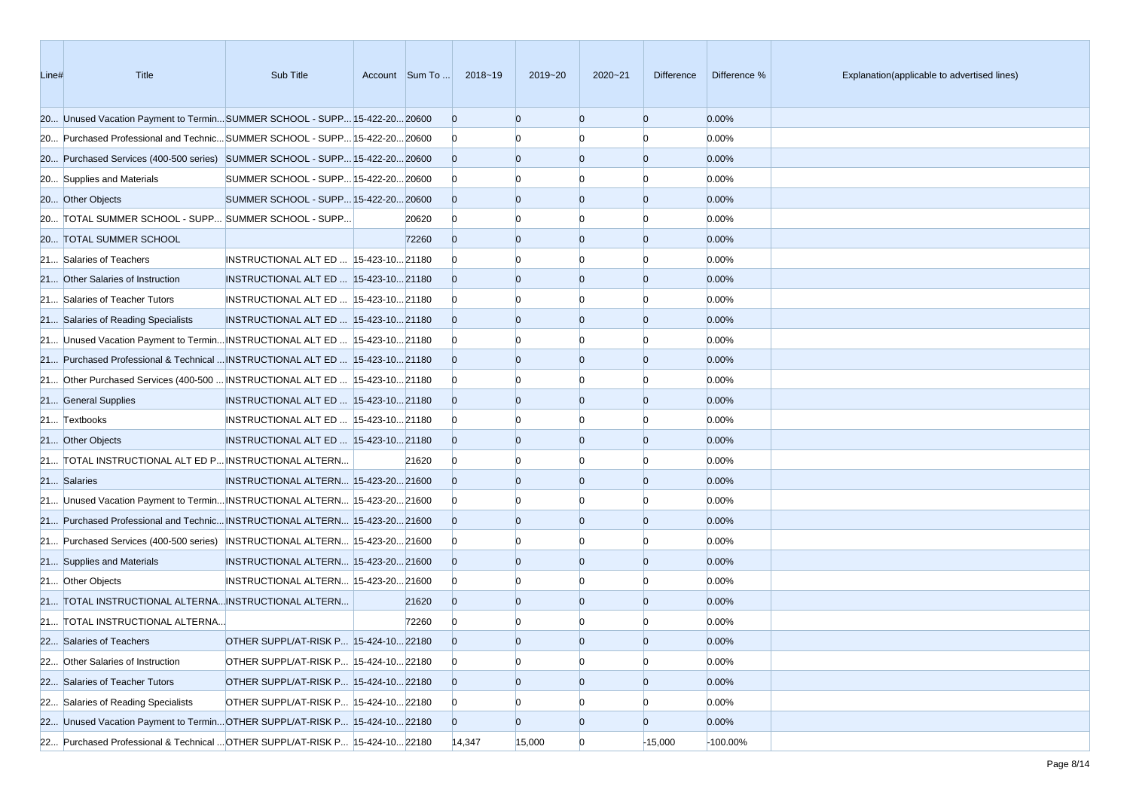| Line# | Title                                                                         | Sub Title                             |       | Account Sum To  2018~19 | 2019~20        | $2020 - 21$    | Difference     | Difference % | Explanation(applicable to advertised lines) |
|-------|-------------------------------------------------------------------------------|---------------------------------------|-------|-------------------------|----------------|----------------|----------------|--------------|---------------------------------------------|
|       | 20 Unused Vacation Payment to TerminSUMMER SCHOOL - SUPP 15-422-20 20600      |                                       |       | $\overline{0}$          | $\Omega$       | $\overline{0}$ | $\overline{0}$ | 0.00%        |                                             |
|       | 20 Purchased Professional and Technic SUMMER SCHOOL - SUPP 15-422-20 20600    |                                       |       | $\overline{0}$          |                | n              | $\Omega$       | 0.00%        |                                             |
|       | 20 Purchased Services (400-500 series) SUMMER SCHOOL - SUPP 15-422-20 20600   |                                       |       | $\overline{0}$          | $\overline{0}$ | $\overline{0}$ | $\overline{0}$ | 0.00%        |                                             |
|       | 20 Supplies and Materials                                                     | SUMMER SCHOOL - SUPP 15-422-20 20600  |       | $\overline{0}$          |                |                | $\Omega$       | 0.00%        |                                             |
|       | 20 Other Objects                                                              | SUMMER SCHOOL - SUPP 15-422-20 20600  |       | $\overline{0}$          | $\Omega$       | $\overline{0}$ | $\overline{0}$ | 0.00%        |                                             |
|       | 20 TOTAL SUMMER SCHOOL - SUPP SUMMER SCHOOL - SUPP                            |                                       | 20620 | $\overline{0}$          | n              | n              | $\Omega$       | 0.00%        |                                             |
|       | 20 TOTAL SUMMER SCHOOL                                                        |                                       | 72260 | $\overline{0}$          | $\overline{0}$ | $\overline{0}$ | $\overline{0}$ | 0.00%        |                                             |
|       | 21 Salaries of Teachers                                                       | INSTRUCTIONAL ALT ED  15-423-10 21180 |       | $\overline{0}$          |                |                | $\Omega$       | 0.00%        |                                             |
|       | 21 Other Salaries of Instruction                                              | INSTRUCTIONAL ALT ED  15-423-10 21180 |       | $\overline{0}$          | $\Omega$       | $\overline{0}$ | $\overline{0}$ | 0.00%        |                                             |
|       | 21 Salaries of Teacher Tutors                                                 | INSTRUCTIONAL ALT ED  15-423-10 21180 |       | $\overline{0}$          |                | n              | $\Omega$       | 0.00%        |                                             |
|       | 21 Salaries of Reading Specialists                                            | INSTRUCTIONAL ALT ED  15-423-10 21180 |       | $\overline{0}$          | $\Omega$       | $\overline{0}$ | $\overline{0}$ | 0.00%        |                                             |
|       | 21 Unused Vacation Payment to Termin INSTRUCTIONAL ALT ED  15-423-10 21180    |                                       |       | $\overline{0}$          |                |                | $\Omega$       | 0.00%        |                                             |
|       | 21 Purchased Professional & Technical  INSTRUCTIONAL ALT ED   15-423-10 21180 |                                       |       | $\overline{0}$          | $\Omega$       | $\overline{0}$ | $\overline{0}$ | 0.00%        |                                             |
|       | 21 Other Purchased Services (400-500  INSTRUCTIONAL ALT ED   15-423-10 21180  |                                       |       | $\overline{0}$          |                | n              | $\Omega$       | 0.00%        |                                             |
|       | 21 General Supplies                                                           | INSTRUCTIONAL ALT ED  15-423-10 21180 |       | $\overline{0}$          | $\overline{0}$ | $\overline{0}$ | $\overline{0}$ | 0.00%        |                                             |
|       | 21 Textbooks                                                                  | INSTRUCTIONAL ALT ED  15-423-10 21180 |       | $\overline{0}$          |                | n              | $\Omega$       | 0.00%        |                                             |
|       | 21 Other Objects                                                              | INSTRUCTIONAL ALT ED  15-423-10 21180 |       | $\overline{0}$          | $\Omega$       | $\overline{0}$ | $\overline{0}$ | 0.00%        |                                             |
|       | 21 TOTAL INSTRUCTIONAL ALT ED P INSTRUCTIONAL ALTERN                          |                                       | 21620 | $\overline{0}$          |                | n              | $\Omega$       | 0.00%        |                                             |
|       | 21 Salaries                                                                   | INSTRUCTIONAL ALTERN 15-423-20 21600  |       | $\Omega$                | $\overline{0}$ | $\overline{0}$ | $\overline{0}$ | 0.00%        |                                             |
|       | 21 Unused Vacation Payment to Termin INSTRUCTIONAL ALTERN 15-423-20 21600     |                                       |       | $\overline{0}$          |                | n              | $\Omega$       | 0.00%        |                                             |
|       | 21 Purchased Professional and Technic INSTRUCTIONAL ALTERN 15-423-20 21600    |                                       |       | $\overline{0}$          | $\Omega$       | $\overline{0}$ | $\overline{0}$ | 0.00%        |                                             |
|       | 21 Purchased Services (400-500 series) INSTRUCTIONAL ALTERN 15-423-20 21600   |                                       |       | $\bf{0}$                |                | n              | $\Omega$       | 0.00%        |                                             |
|       | 21 Supplies and Materials                                                     | INSTRUCTIONAL ALTERN 15-423-20 21600  |       | $\overline{0}$          | $\overline{0}$ | $\overline{0}$ | $\overline{0}$ | 0.00%        |                                             |
|       | 21 Other Objects                                                              | INSTRUCTIONAL ALTERN 15-423-20 21600  |       | $\overline{0}$          |                | n              | $\Omega$       | 0.00%        |                                             |
|       | 21 TOTAL INSTRUCTIONAL ALTERNA INSTRUCTIONAL ALTERN                           |                                       | 21620 | $\overline{0}$          | $\overline{0}$ | $\overline{0}$ | $\overline{0}$ | 0.00%        |                                             |
|       | 21 TOTAL INSTRUCTIONAL ALTERNA                                                |                                       | 72260 | $\overline{0}$          |                |                | O              | 0.00%        |                                             |
|       | 22 Salaries of Teachers                                                       | OTHER SUPPL/AT-RISK P 15-424-10 22180 |       | $\Omega$                | $\Omega$       | $\Omega$       | $\Omega$       | 0.00%        |                                             |
|       | 22 Other Salaries of Instruction                                              | OTHER SUPPL/AT-RISK P 15-424-10 22180 |       | $\overline{0}$          | $\overline{0}$ | $\overline{0}$ | $\overline{0}$ | 0.00%        |                                             |
|       | 22 Salaries of Teacher Tutors                                                 | OTHER SUPPL/AT-RISK P 15-424-10 22180 |       | $\overline{0}$          | $\overline{0}$ | $\overline{0}$ | $\overline{0}$ | 0.00%        |                                             |
|       | 22 Salaries of Reading Specialists                                            | OTHER SUPPL/AT-RISK P 15-424-10 22180 |       | $\overline{0}$          | $\overline{0}$ | $\Omega$       | $\overline{0}$ | 0.00%        |                                             |
|       | 22 Unused Vacation Payment to Termin OTHER SUPPL/AT-RISK P 15-424-10 22180    |                                       |       | $\overline{0}$          | $\overline{0}$ | $\overline{0}$ | $\overline{0}$ | 0.00%        |                                             |
|       | 22 Purchased Professional & Technical  OTHER SUPPL/AT-RISK P 15-424-10 22180  |                                       |       | 14,347                  | 15,000         | $\overline{0}$ | $-15,000$      | $-100.00\%$  |                                             |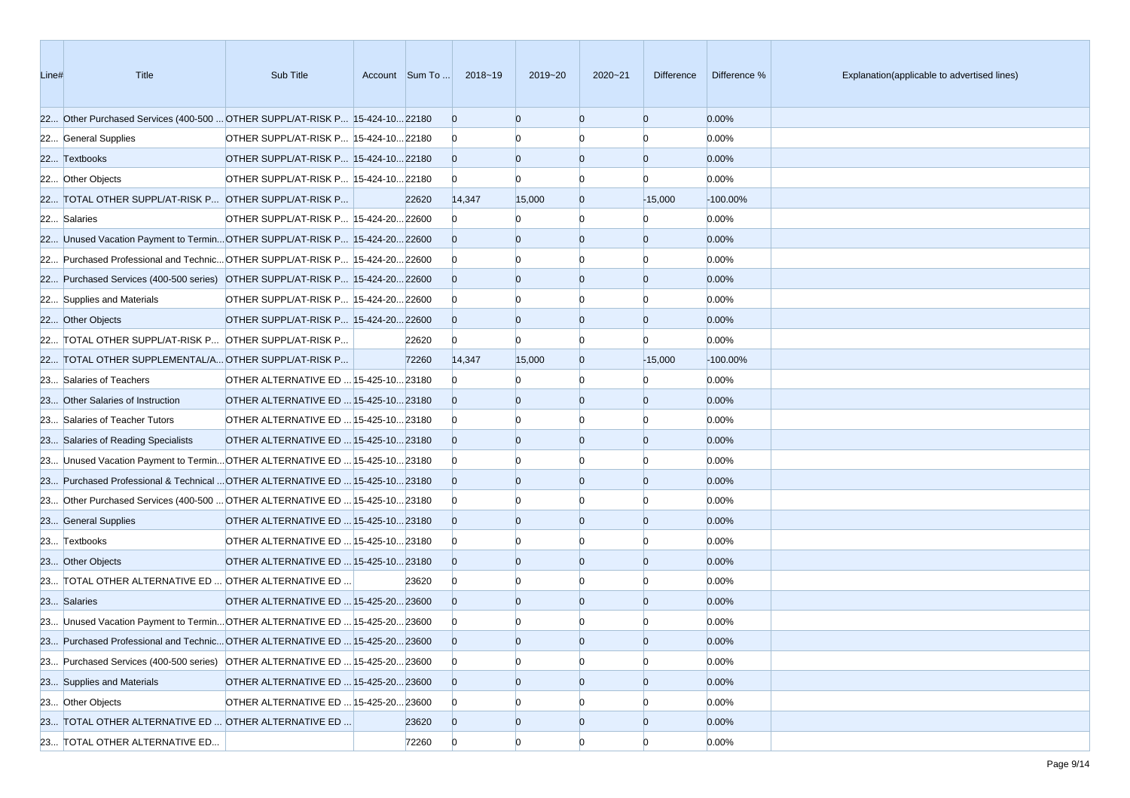| Line# | <b>Title</b>                                                                  | Sub Title                             |       | Account Sum To  2018~19 | 2019~20        | $2020 - 21$    | <b>Difference</b> | Difference % | Explanation(applicable to advertised lines) |
|-------|-------------------------------------------------------------------------------|---------------------------------------|-------|-------------------------|----------------|----------------|-------------------|--------------|---------------------------------------------|
|       | 22 Other Purchased Services (400-500  OTHER SUPPL/AT-RISK P 15-424-10 22180   |                                       |       | $\overline{0}$          | $\Omega$       | $\Omega$       | $\overline{0}$    | 0.00%        |                                             |
|       | 22 General Supplies                                                           | OTHER SUPPL/AT-RISK P 15-424-10 22180 |       | $\overline{0}$          |                | n              | $\Omega$          | 0.00%        |                                             |
|       | 22 Textbooks                                                                  | OTHER SUPPL/AT-RISK P 15-424-10 22180 |       | $\overline{0}$          | $\Omega$       | $\overline{0}$ | $\overline{0}$    | 0.00%        |                                             |
|       | 22 Other Objects                                                              | OTHER SUPPL/AT-RISK P 15-424-10 22180 |       | $\overline{0}$          | $\Omega$       |                | n                 | 0.00%        |                                             |
|       | 22 TOTAL OTHER SUPPL/AT-RISK P OTHER SUPPL/AT-RISK P                          |                                       | 22620 | 14,347                  | 15,000         | $\overline{0}$ | $-15,000$         | $-100.00\%$  |                                             |
|       | 22 Salaries                                                                   | OTHER SUPPL/AT-RISK P 15-424-20 22600 |       | $\overline{0}$          |                | $\Omega$       | $\Omega$          | 0.00%        |                                             |
|       | 22 Unused Vacation Payment to Termin OTHER SUPPL/AT-RISK P 15-424-20 22600    |                                       |       | $\overline{0}$          | $\Omega$       | $\Omega$       | $\overline{0}$    | 0.00%        |                                             |
|       | 22 Purchased Professional and Technic OTHER SUPPL/AT-RISK P 15-424-20 22600   |                                       |       | $\overline{0}$          |                |                | n                 | 0.00%        |                                             |
|       | 22 Purchased Services (400-500 series) OTHER SUPPL/AT-RISK P 15-424-20 22600  |                                       |       | $\overline{0}$          | $\Omega$       | $\Omega$       | $\overline{0}$    | 0.00%        |                                             |
|       | 22 Supplies and Materials                                                     | OTHER SUPPL/AT-RISK P 15-424-20 22600 |       | $\overline{0}$          |                |                | n                 | 0.00%        |                                             |
|       | 22 Other Objects                                                              | OTHER SUPPL/AT-RISK P 15-424-2022600  |       | $\overline{0}$          | $\Omega$       | $\Omega$       | $\overline{0}$    | 0.00%        |                                             |
|       | 22 TOTAL OTHER SUPPL/AT-RISK P OTHER SUPPL/AT-RISK P                          |                                       | 22620 | $\overline{0}$          | $\Omega$       | n              | n                 | 0.00%        |                                             |
|       | 22 TOTAL OTHER SUPPLEMENTAL/A OTHER SUPPL/AT-RISK P                           |                                       | 72260 | 14,347                  | 15,000         | $\overline{0}$ | $-15,000$         | $-100.00\%$  |                                             |
|       | 23 Salaries of Teachers                                                       | OTHER ALTERNATIVE ED  15-425-10 23180 |       | $\overline{0}$          |                | $\Omega$       | $\Omega$          | 0.00%        |                                             |
|       | 23 Other Salaries of Instruction                                              | OTHER ALTERNATIVE ED  15-425-10 23180 |       | $\overline{0}$          | $\Omega$       | $\Omega$       | $\overline{0}$    | 0.00%        |                                             |
|       | 23 Salaries of Teacher Tutors                                                 | OTHER ALTERNATIVE ED  15-425-10 23180 |       | $\overline{0}$          |                |                |                   | 0.00%        |                                             |
|       | 23 Salaries of Reading Specialists                                            | OTHER ALTERNATIVE ED  15-425-10 23180 |       | $\overline{0}$          | $\Omega$       | $\Omega$       | $\overline{0}$    | 0.00%        |                                             |
|       | 23 Unused Vacation Payment to Termin OTHER ALTERNATIVE ED  15-425-10 23180    |                                       |       | $\overline{0}$          |                |                | $\Omega$          | 0.00%        |                                             |
|       | 23 Purchased Professional & Technical  OTHER ALTERNATIVE ED   15-425-10 23180 |                                       |       | $\overline{0}$          | $\Omega$       | $\Omega$       | $\overline{0}$    | 0.00%        |                                             |
|       | 23 Other Purchased Services (400-500  OTHER ALTERNATIVE ED  15-425-10 23180   |                                       |       | $\overline{0}$          |                |                | $\Omega$          | 0.00%        |                                             |
|       | 23 General Supplies                                                           | OTHER ALTERNATIVE ED  15-425-10 23180 |       | $\overline{0}$          | $\Omega$       | $\Omega$       | $\overline{0}$    | 0.00%        |                                             |
|       | 23 Textbooks                                                                  | OTHER ALTERNATIVE ED  15-425-10 23180 |       | $\overline{0}$          |                |                | n                 | 0.00%        |                                             |
|       | 23 Other Objects                                                              | OTHER ALTERNATIVE ED  15-425-10 23180 |       | $\overline{0}$          | $\Omega$       | $\Omega$       | $\overline{0}$    | 0.00%        |                                             |
|       | 23 TOTAL OTHER ALTERNATIVE ED  OTHER ALTERNATIVE ED                           |                                       | 23620 | $\overline{0}$          |                |                | n                 | 0.00%        |                                             |
|       | 23 Salaries                                                                   | OTHER ALTERNATIVE ED  15-425-20 23600 |       | $\overline{0}$          | $\Omega$       | $\overline{0}$ | $\overline{0}$    | 0.00%        |                                             |
|       | 23 Unused Vacation Payment to Termin OTHER ALTERNATIVE ED  15-425-20 23600    |                                       |       | $\overline{0}$          |                |                |                   | 0.00%        |                                             |
|       | 23 Purchased Professional and Technic OTHER ALTERNATIVE ED  15-425-20 23600   |                                       |       | $\overline{0}$          | $\Omega$       | $\Omega$       | $\Omega$          | 0.00%        |                                             |
|       | 23 Purchased Services (400-500 series) OTHER ALTERNATIVE ED  15-425-20 23600  |                                       |       | $\overline{0}$          | $\Omega$       | $\overline{0}$ | $\Omega$          | 0.00%        |                                             |
|       | 23 Supplies and Materials                                                     | OTHER ALTERNATIVE ED  15-425-20 23600 |       | $\overline{0}$          | $\overline{0}$ | $\overline{0}$ | $\overline{0}$    | 0.00%        |                                             |
|       | 23 Other Objects                                                              | OTHER ALTERNATIVE ED  15-425-20 23600 |       | $\overline{0}$          |                | $\Omega$       |                   | 0.00%        |                                             |
|       | 23 TOTAL OTHER ALTERNATIVE ED  OTHER ALTERNATIVE ED                           |                                       | 23620 | $\overline{0}$          | $\overline{0}$ | $\overline{0}$ | $\overline{0}$    | 0.00%        |                                             |
|       | 23 TOTAL OTHER ALTERNATIVE ED                                                 |                                       | 72260 | $\mathbf{0}$            | $\overline{0}$ | $\Omega$       | $\Omega$          | 0.00%        |                                             |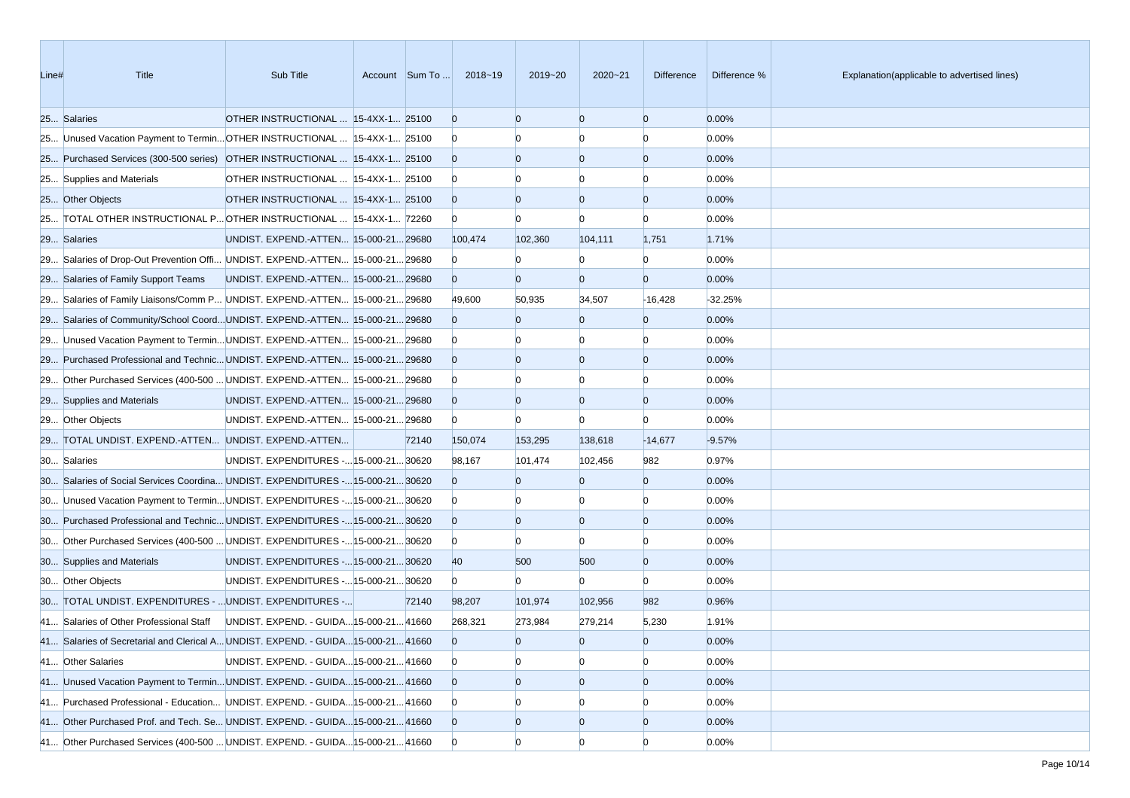| Line# | <b>Title</b>                                                                      | Sub Title                               |       | Account Sum To  2018~19 | 2019~20        | $2020 - 21$    | <b>Difference</b> | Difference % | Explanation(applicable to advertised lines) |
|-------|-----------------------------------------------------------------------------------|-----------------------------------------|-------|-------------------------|----------------|----------------|-------------------|--------------|---------------------------------------------|
|       | 25 Salaries                                                                       | OTHER INSTRUCTIONAL  15-4XX-1 25100     |       | $\overline{0}$          | $\Omega$       | $\Omega$       | $\overline{0}$    | 0.00%        |                                             |
|       | 25 Unused Vacation Payment to Termin OTHER INSTRUCTIONAL  15-4XX-1 25100          |                                         |       | $\mathbf{0}$            |                | n              | $\Omega$          | 0.00%        |                                             |
|       | 25 Purchased Services (300-500 series) OTHER INSTRUCTIONAL  15-4XX-1 25100        |                                         |       | $\overline{0}$          | $\Omega$       | $\overline{0}$ | $\overline{0}$    | 0.00%        |                                             |
|       | 25 Supplies and Materials                                                         | OTHER INSTRUCTIONAL  15-4XX-1 25100     |       | $\bf{0}$                |                |                | n                 | 0.00%        |                                             |
|       | 25 Other Objects                                                                  | OTHER INSTRUCTIONAL  15-4XX-1 25100     |       | $\overline{0}$          | $\Omega$       | $\Omega$       | $\overline{0}$    | 0.00%        |                                             |
|       | 25 TOTAL OTHER INSTRUCTIONAL P OTHER INSTRUCTIONAL  15-4XX-1 72260                |                                         |       | $\overline{0}$          | $\Omega$       | $\Omega$       | $\Omega$          | 0.00%        |                                             |
|       | 29 Salaries                                                                       | UNDIST. EXPEND.-ATTEN 15-000-2129680    |       | 100,474                 | 102,360        | 104,111        | 1,751             | 1.71%        |                                             |
|       | 29 Salaries of Drop-Out Prevention Offi UNDIST. EXPEND.-ATTEN 15-000-21 29680     |                                         |       | $\overline{0}$          | n              | $\Omega$       | $\Omega$          | 0.00%        |                                             |
|       | 29 Salaries of Family Support Teams                                               | UNDIST. EXPEND.-ATTEN 15-000-21 29680   |       | $\overline{0}$          | $\Omega$       | $\overline{0}$ | $\overline{0}$    | 0.00%        |                                             |
|       | 29 Salaries of Family Liaisons/Comm P UNDIST. EXPEND.-ATTEN 15-000-21 29680       |                                         |       | 49,600                  | 50,935         | 34,507         | $-16,428$         | $-32.25%$    |                                             |
|       | 29 Salaries of Community/School CoordUNDIST. EXPEND.-ATTEN 15-000-2129680         |                                         |       | $\overline{0}$          | $\Omega$       | $\overline{0}$ | $\overline{0}$    | 0.00%        |                                             |
|       | 29 Unused Vacation Payment to Termin UNDIST. EXPEND.-ATTEN 15-000-21 29680        |                                         |       | $\overline{0}$          |                |                | $\Omega$          | 0.00%        |                                             |
|       | 29 Purchased Professional and Technic UNDIST. EXPEND.-ATTEN 15-000-21 29680       |                                         |       | $\overline{0}$          | $\Omega$       | $\overline{0}$ | $\overline{0}$    | 0.00%        |                                             |
|       | 29 Other Purchased Services (400-500  UNDIST. EXPEND.-ATTEN  15-000-21 29680      |                                         |       | $\overline{0}$          |                | $\Omega$       | $\Omega$          | 0.00%        |                                             |
|       | 29 Supplies and Materials                                                         | UNDIST. EXPEND.-ATTEN 15-000-21 29680   |       | $\overline{0}$          | $\Omega$       | $\overline{0}$ | $\overline{0}$    | 0.00%        |                                             |
|       | 29 Other Objects                                                                  | UNDIST. EXPEND.-ATTEN  15-000-21 29680  |       | $\overline{0}$          | $\Omega$       | $\Omega$       | $\Omega$          | 0.00%        |                                             |
|       | 29 TOTAL UNDIST. EXPEND.-ATTEN UNDIST. EXPEND.-ATTEN                              |                                         | 72140 | 150,074                 | 153,295        | 138,618        | $-14,677$         | $-9.57%$     |                                             |
|       | 30 Salaries                                                                       | UNDIST. EXPENDITURES - 15-000-21 30620  |       | 98,167                  | 101,474        | 102,456        | 982               | 0.97%        |                                             |
|       | 30 Salaries of Social Services Coordina UNDIST. EXPENDITURES - 15-000-21 30620    |                                         |       | $\overline{0}$          | $\Omega$       | $\overline{0}$ | $\overline{0}$    | 0.00%        |                                             |
|       | 30 Unused Vacation Payment to Termin UNDIST. EXPENDITURES - 15-000-21 30620       |                                         |       | $\bf{0}$                |                |                | $\Omega$          | 0.00%        |                                             |
|       | 30 Purchased Professional and Technic UNDIST. EXPENDITURES - 15-000-21 30620      |                                         |       | $\overline{0}$          | $\Omega$       | $\overline{0}$ | $\overline{0}$    | 0.00%        |                                             |
|       | 30 Other Purchased Services (400-500  UNDIST. EXPENDITURES - 15-000-21 30620      |                                         |       | $\overline{0}$          |                | $\Omega$       | $\Omega$          | 0.00%        |                                             |
|       | 30 Supplies and Materials                                                         | UNDIST. EXPENDITURES - 15-000-21 30620  |       | 40                      | 500            | 500            | $\overline{0}$    | 0.00%        |                                             |
|       | 30 Other Objects                                                                  | UNDIST. EXPENDITURES - 15-000-21 30620  |       | $\overline{0}$          | $\overline{0}$ | $\mathbf{0}$   | $\overline{0}$    | 0.00%        |                                             |
|       | 30 TOTAL UNDIST. EXPENDITURES -  UNDIST. EXPENDITURES -                           |                                         | 72140 | 98,207                  | 101,974        | 102,956        | 982               | 0.96%        |                                             |
|       | 41 Salaries of Other Professional Staff                                           | UNDIST. EXPEND. - GUIDA 15-000-21 41660 |       | 268,321                 | 273,984        | 279,214        | 5,230             | 1.91%        |                                             |
|       | 41 Salaries of Secretarial and Clerical A UNDIST. EXPEND. - GUIDA 15-000-21 41660 |                                         |       | $\Omega$                | $\overline{0}$ | $\overline{0}$ | $\overline{0}$    | 0.00%        |                                             |
|       | 41 Other Salaries                                                                 | UNDIST. EXPEND. - GUIDA 15-000-21 41660 |       | $\overline{0}$          | $\Omega$       | $\overline{0}$ | $\overline{0}$    | 0.00%        |                                             |
|       | 41 Unused Vacation Payment to Termin UNDIST. EXPEND. - GUIDA 15-000-21 41660      |                                         |       | $\overline{0}$          | $\overline{0}$ | $\overline{0}$ | $\overline{0}$    | 0.00%        |                                             |
|       | 41 Purchased Professional - Education UNDIST. EXPEND. - GUIDA 15-000-21 41660     |                                         |       | $\overline{0}$          |                |                | $\Omega$          | 0.00%        |                                             |
|       | 41 Other Purchased Prof. and Tech. Se UNDIST. EXPEND. - GUIDA 15-000-21 41660     |                                         |       | $\overline{0}$          | $\overline{0}$ | $\overline{0}$ | $\overline{0}$    | 0.00%        |                                             |
|       | 41 Other Purchased Services (400-500  UNDIST. EXPEND. - GUIDA 15-000-21 41660     |                                         |       | $\overline{0}$          | $\Omega$       | $\overline{0}$ | $\overline{0}$    | 0.00%        |                                             |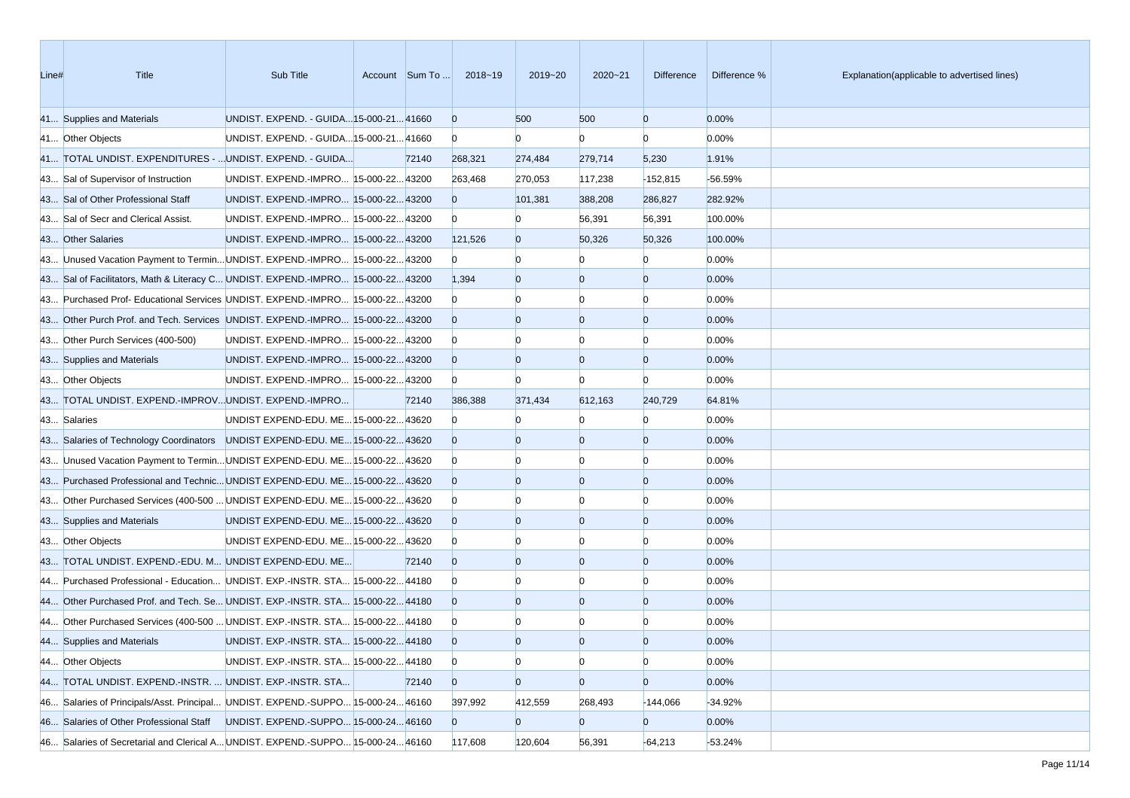| Line# | <b>Title</b>                                                                    | Sub Title                               | Account Sum To | 2018~19        | 2019~20        | $2020 - 21$    | <b>Difference</b> | Difference % | Explanation(applicable to advertised lines) |
|-------|---------------------------------------------------------------------------------|-----------------------------------------|----------------|----------------|----------------|----------------|-------------------|--------------|---------------------------------------------|
|       | 41 Supplies and Materials                                                       | UNDIST. EXPEND. - GUIDA 15-000-21 41660 |                | $\overline{0}$ | 500            | 500            | $\overline{0}$    | 0.00%        |                                             |
|       | 41 Other Objects                                                                | UNDIST. EXPEND. - GUIDA 15-000-21 41660 |                | $\overline{0}$ | $\mathbf{0}$   | $\Omega$       | $\Omega$          | 0.00%        |                                             |
|       | 41 TOTAL UNDIST. EXPENDITURES -  UNDIST. EXPEND. - GUIDA                        |                                         | 72140          | 268,321        | 274,484        | 279,714        | 5,230             | 1.91%        |                                             |
|       | 43 Sal of Supervisor of Instruction                                             | UNDIST. EXPEND.-IMPRO 15-000-22 43200   |                | 263,468        | 270,053        | 117,238        | $-152,815$        | -56.59%      |                                             |
|       | 43 Sal of Other Professional Staff                                              | UNDIST. EXPEND.-IMPRO 15-000-22 43200   |                | $\mathbf{0}$   | 101,381        | 388,208        | 286,827           | 282.92%      |                                             |
|       | 43 Sal of Secr and Clerical Assist.                                             | UNDIST. EXPEND.-IMPRO 15-000-22 43200   |                | $\overline{0}$ | $\Omega$       | 56,391         | 56,391            | 100.00%      |                                             |
|       | 43 Other Salaries                                                               | UNDIST. EXPEND.-IMPRO 15-000-22 43200   |                | 121,526        | $\overline{0}$ | 50,326         | 50,326            | 100.00%      |                                             |
|       | 43 Unused Vacation Payment to Termin UNDIST. EXPEND.-IMPRO 15-000-22 43200      |                                         |                | $\overline{0}$ | $\Omega$       |                | $\Omega$          | 0.00%        |                                             |
|       | 43 Sal of Facilitators, Math & Literacy C UNDIST. EXPEND.-IMPRO 15-000-22 43200 |                                         |                | 1,394          | $\Omega$       | $\overline{0}$ | $\overline{0}$    | 0.00%        |                                             |
|       | 43 Purchased Prof- Educational Services UNDIST. EXPEND.-IMPRO 15-000-22 43200   |                                         |                | $\overline{0}$ |                |                | $\Omega$          | 0.00%        |                                             |
|       | 43 Other Purch Prof. and Tech. Services UNDIST. EXPEND.-IMPRO 15-000-22 43200   |                                         |                | $\overline{0}$ | $\Omega$       | $\overline{0}$ | $\overline{0}$    | 0.00%        |                                             |
|       | 43 Other Purch Services (400-500)                                               | UNDIST. EXPEND.-IMPRO 15-000-22 43200   |                | $\overline{0}$ |                |                | $\Omega$          | 0.00%        |                                             |
|       | 43 Supplies and Materials                                                       | UNDIST. EXPEND.-IMPRO 15-000-22 43200   |                | $\overline{0}$ | $\Omega$       | $\overline{0}$ | $\overline{0}$    | 0.00%        |                                             |
|       | 43 Other Objects                                                                | UNDIST. EXPEND.-IMPRO 15-000-22 43200   |                | $\overline{0}$ | $\Omega$       | $\Omega$       | $\Omega$          | 0.00%        |                                             |
|       | 43 TOTAL UNDIST. EXPEND.-IMPROVUNDIST. EXPEND.-IMPRO                            |                                         | 72140          | 386,388        | 371,434        | 612,163        | 240,729           | 64.81%       |                                             |
|       | 43 Salaries                                                                     | UNDIST EXPEND-EDU. ME 15-000-22 43620   |                | $\Omega$       |                | n              | $\Omega$          | 0.00%        |                                             |
|       | 43 Salaries of Technology Coordinators UNDIST EXPEND-EDU. ME 15-000-22 43620    |                                         |                | $\Omega$       |                | $\Omega$       | $\overline{0}$    | 0.00%        |                                             |
|       | 43 Unused Vacation Payment to Termin UNDIST EXPEND-EDU. ME 15-000-22 43620      |                                         |                | $\overline{0}$ |                |                | $\Omega$          | 0.00%        |                                             |
|       | 43 Purchased Professional and Technic UNDIST EXPEND-EDU. ME 15-000-22 43620     |                                         |                | $\overline{0}$ | $\Omega$       | $\overline{0}$ | $\overline{0}$    | 0.00%        |                                             |
|       | 43 Other Purchased Services (400-500  UNDIST EXPEND-EDU. ME 15-000-22 43620     |                                         |                | $\overline{0}$ |                |                | $\Omega$          | 0.00%        |                                             |
|       | 43 Supplies and Materials                                                       | UNDIST EXPEND-EDU. ME 15-000-22 43620   |                | $\overline{0}$ | $\Omega$       | $\overline{0}$ | $\overline{0}$    | 0.00%        |                                             |
|       | 43 Other Objects                                                                | UNDIST EXPEND-EDU. ME 15-000-22 43620   |                | $\overline{0}$ |                |                | n                 | 0.00%        |                                             |
|       | 43 TOTAL UNDIST. EXPEND.-EDU. M UNDIST EXPEND-EDU. ME                           |                                         | 72140          | $\overline{0}$ | $\Omega$       | $\Omega$       | $\overline{0}$    | 0.00%        |                                             |
|       | 44 Purchased Professional - Education UNDIST. EXP.-INSTR. STA 15-000-22 44180   |                                         |                | $\overline{0}$ |                | n              | $\Omega$          | 0.00%        |                                             |
|       | 44 Other Purchased Prof. and Tech. Se UNDIST. EXP.-INSTR. STA 15-000-22 44180   |                                         |                | $\overline{0}$ | $\Omega$       | $\overline{0}$ | $\overline{0}$    | 0.00%        |                                             |
|       | 44 Other Purchased Services (400-500  UNDIST. EXP.-INSTR. STA 15-000-22 44180   |                                         |                | $\mathbf{0}$   |                |                |                   | 0.00%        |                                             |
|       | 44 Supplies and Materials                                                       | UNDIST. EXP.-INSTR. STA 15-000-22 44180 |                | $\overline{0}$ | $\Omega$       | $\Omega$       | $\Omega$          | 0.00%        |                                             |
|       | 44 Other Objects                                                                | UNDIST. EXP.-INSTR. STA 15-000-2244180  |                | $\mathbf{0}$   | $\overline{0}$ | $\overline{0}$ | $\overline{0}$    | 0.00%        |                                             |
|       | 44 TOTAL UNDIST. EXPEND.-INSTR.  UNDIST. EXP.-INSTR. STA                        |                                         | 72140          | $\overline{0}$ | $\overline{0}$ | $\overline{0}$ | $\overline{0}$    | 0.00%        |                                             |
|       | 46 Salaries of Principals/Asst. Principal UNDIST. EXPEND.-SUPPO 15-000-2446160  |                                         |                | 397,992        | 412,559        | 268,493        | $-144,066$        | $-34.92%$    |                                             |
|       | 46 Salaries of Other Professional Staff                                         | UNDIST. EXPEND.-SUPPO 15-000-24 46160   |                | $\overline{0}$ | $\overline{0}$ | $\overline{0}$ | $\overline{0}$    | 0.00%        |                                             |
|       | 46 Salaries of Secretarial and Clerical A UNDIST. EXPEND.-SUPPO 15-000-24 46160 |                                         |                | 117,608        | 120,604        | 56,391         | $-64,213$         | $-53.24%$    |                                             |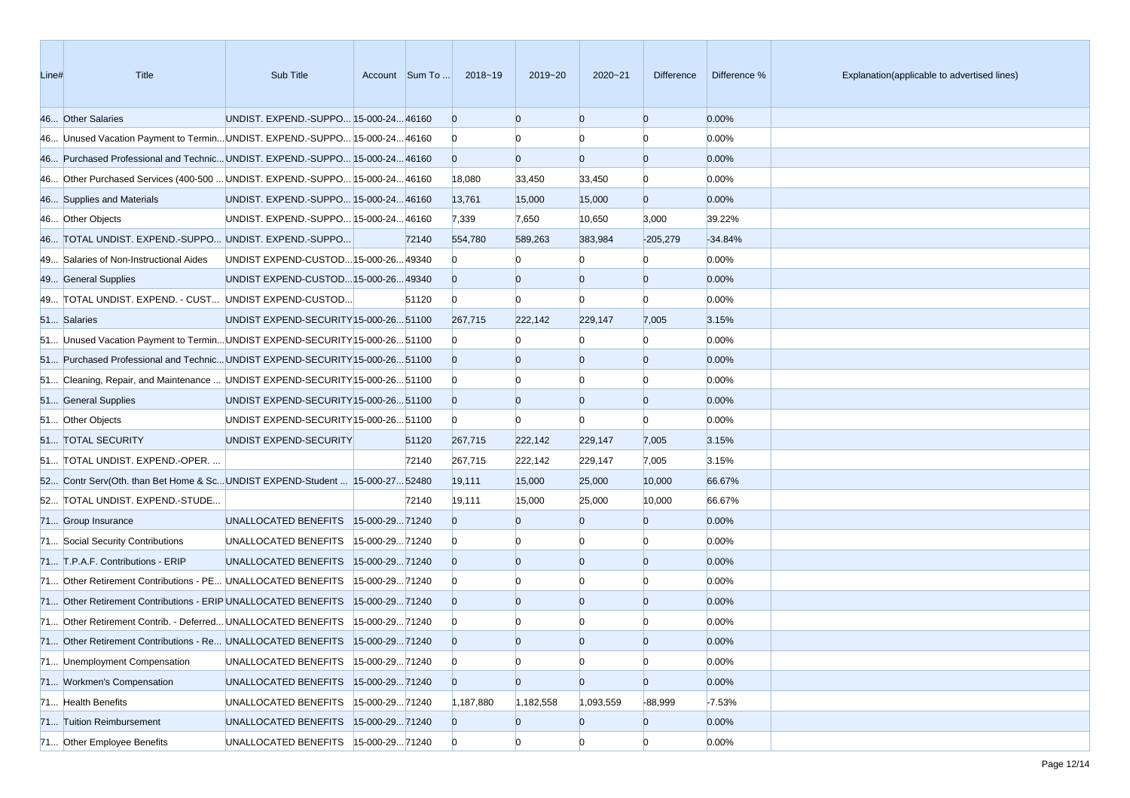| Line# | Title                                                                         | Sub Title                              |                |       | Account Sum To  2018~19 | $2019 - 20$    | $2020 - 21$    | Difference     | Difference % | Explanation(applicable to advertised lines) |
|-------|-------------------------------------------------------------------------------|----------------------------------------|----------------|-------|-------------------------|----------------|----------------|----------------|--------------|---------------------------------------------|
|       | 46 Other Salaries                                                             | UNDIST. EXPEND.-SUPPO 15-000-24 46160  |                |       | $\overline{0}$          | $\Omega$       | $\Omega$       | $\overline{0}$ | 0.00%        |                                             |
|       | 46 Unused Vacation Payment to Termin UNDIST. EXPEND.-SUPPO 15-000-24 46160    |                                        |                |       | $\mathbf{0}$            |                | $\Omega$       | $\Omega$       | 0.00%        |                                             |
|       | 46 Purchased Professional and Technic UNDIST. EXPEND.-SUPPO 15-000-24 46160   |                                        |                |       | $\overline{0}$          | $\Omega$       | $\overline{0}$ | $\overline{0}$ | 0.00%        |                                             |
|       | 46 Other Purchased Services (400-500  UNDIST. EXPEND.-SUPPO 15-000-24 46160   |                                        |                |       | 18,080                  | 33,450         | 33,450         | $\overline{0}$ | 0.00%        |                                             |
|       | 46 Supplies and Materials                                                     | UNDIST. EXPEND.-SUPPO 15-000-24 46160  |                |       | 13,761                  | 15,000         | 15,000         | $\overline{0}$ | 0.00%        |                                             |
|       | 46 Other Objects                                                              | UNDIST. EXPEND.-SUPPO 15-000-24 46160  |                |       | 7,339                   | 7,650          | 10,650         | 3,000          | 39.22%       |                                             |
|       | 46 TOTAL UNDIST. EXPEND.-SUPPO UNDIST. EXPEND.-SUPPO                          |                                        |                | 72140 | 554,780                 | 589,263        | 383,984        | $-205,279$     | $-34.84%$    |                                             |
|       | 49 Salaries of Non-Instructional Aides                                        | UNDIST EXPEND-CUSTOD 15-000-26 49340   |                |       | $\Omega$                |                |                |                | 0.00%        |                                             |
|       | 49 General Supplies                                                           | UNDIST EXPEND-CUSTOD 15-000-26 49340   |                |       | $\Omega$                | $\Omega$       | $\Omega$       | $\Omega$       | 0.00%        |                                             |
|       | 49 TOTAL UNDIST. EXPEND. - CUST UNDIST EXPEND-CUSTOD                          |                                        |                | 51120 | $\overline{0}$          | $\Omega$       | $\overline{0}$ | $\Omega$       | 0.00%        |                                             |
|       | 51 Salaries                                                                   | UNDIST EXPEND-SECURITY 15-000-26 51100 |                |       | 267,715                 | 222,142        | 229,147        | 7,005          | 3.15%        |                                             |
|       | 51 Unused Vacation Payment to Termin UNDIST EXPEND-SECURITY 15-000-26 51100   |                                        |                |       | $\mathbf{0}$            |                |                | $\Omega$       | 0.00%        |                                             |
|       | 51 Purchased Professional and Technic UNDIST EXPEND-SECURITY 15-000-26 51100  |                                        |                |       | $\overline{0}$          |                | $\Omega$       | $\Omega$       | 0.00%        |                                             |
|       | 51 Cleaning, Repair, and Maintenance  UNDIST EXPEND-SECURITY 15-000-26 51100  |                                        |                |       | $\overline{0}$          |                |                | $\Omega$       | 0.00%        |                                             |
|       | 51 General Supplies                                                           | UNDIST EXPEND-SECURITY 15-000-26 51100 |                |       | $\overline{0}$          | $\Omega$       | $\overline{0}$ | $\overline{0}$ | 0.00%        |                                             |
|       | 51 Other Objects                                                              | UNDIST EXPEND-SECURITY 15-000-26 51100 |                |       | $\overline{0}$          | $\Omega$       | $\Omega$       | $\Omega$       | 0.00%        |                                             |
|       | 51 TOTAL SECURITY                                                             | UNDIST EXPEND-SECURITY                 |                | 51120 | 267,715                 | 222,142        | 229,147        | 7,005          | 3.15%        |                                             |
|       | 51 TOTAL UNDIST. EXPEND.-OPER.                                                |                                        |                | 72140 | 267,715                 | 222,142        | 229,147        | 7,005          | 3.15%        |                                             |
|       | 52 Contr Serv(Oth. than Bet Home & ScUNDIST EXPEND-Student  15-000-27 52480   |                                        |                |       | 19,111                  | 15,000         | 25,000         | 10,000         | 66.67%       |                                             |
|       | 52 TOTAL UNDIST. EXPEND.-STUDE                                                |                                        |                | 72140 | 19,111                  | 15,000         | 25,000         | 10,000         | 66.67%       |                                             |
|       | 71 Group Insurance                                                            | UNALLOCATED BENEFITS 15-000-2971240    |                |       | $\Omega$                |                | $\Omega$       | $\overline{0}$ | 0.00%        |                                             |
|       | 71 Social Security Contributions                                              | UNALLOCATED BENEFITS   15-000-29 71240 |                |       | $\overline{0}$          |                | $\Omega$       | $\Omega$       | 0.00%        |                                             |
|       | 71 T.P.A.F. Contributions - ERIP                                              | UNALLOCATED BENEFITS 15-000-2971240    |                |       | $\overline{0}$          | $\Omega$       | $\Omega$       | $\overline{0}$ | 0.00%        |                                             |
|       | 71 Other Retirement Contributions - PE UNALLOCATED BENEFITS                   |                                        | 15-000-2971240 |       | $\bf{0}$                |                |                | $\Omega$       | 0.00%        |                                             |
|       | 71 Other Retirement Contributions - ERIP UNALLOCATED BENEFITS 15-000-2971240  |                                        |                |       | $\overline{0}$          |                | $\overline{0}$ | $\Omega$       | 0.00%        |                                             |
|       | 71 Other Retirement Contrib. - Deferred UNALLOCATED BENEFITS  15-000-29 71240 |                                        |                |       | $\bf{0}$                |                |                |                | 0.00%        |                                             |
|       | 71 Other Retirement Contributions - Re UNALLOCATED BENEFITS 15-000-29 71240   |                                        |                |       | $\overline{0}$          | $\Omega$       | $\Omega$       | $\Omega$       | 0.00%        |                                             |
|       | 71 Unemployment Compensation                                                  | UNALLOCATED BENEFITS 15-000-2971240    |                |       | $\overline{0}$          | $\overline{0}$ | $\overline{0}$ | $\overline{0}$ | 0.00%        |                                             |
|       | 71 Workmen's Compensation                                                     | UNALLOCATED BENEFITS 15-000-2971240    |                |       | $\overline{0}$          | $\overline{0}$ | $\overline{0}$ | $\overline{0}$ | 0.00%        |                                             |
|       | 71 Health Benefits                                                            | UNALLOCATED BENEFITS  15-000-29 71240  |                |       | 1,187,880               | 1,182,558      | 1,093,559      | $-88,999$      | $-7.53%$     |                                             |
|       | 71 Tuition Reimbursement                                                      | UNALLOCATED BENEFITS 15-000-2971240    |                |       | $\overline{0}$          | $\overline{0}$ | $\overline{0}$ | $\overline{0}$ | 0.00%        |                                             |
|       | 71 Other Employee Benefits                                                    | UNALLOCATED BENEFITS   15-000-29 71240 |                |       | $\overline{0}$          | $\overline{0}$ | $\Omega$       | $\Omega$       | 0.00%        |                                             |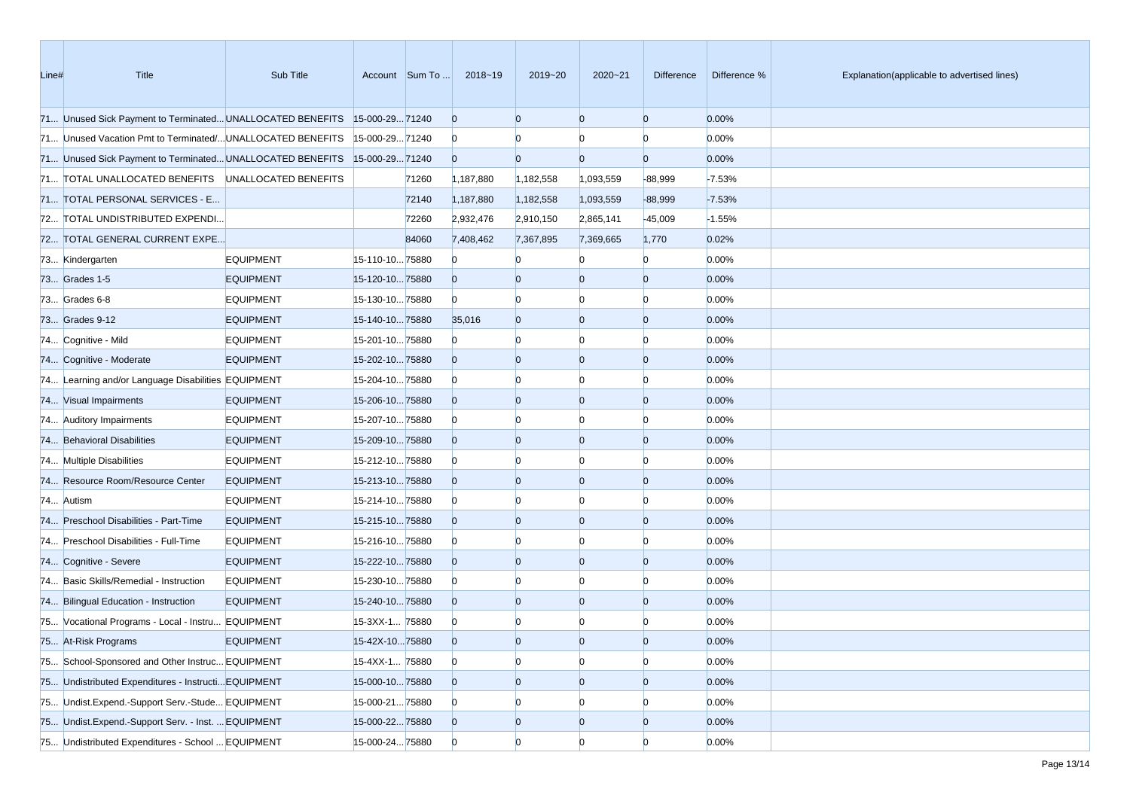| Line# | Title                                                                     | Sub Title        |                 | Account Sum To | 2018~19        | 2019~20        | 2020~21        | Difference     | Difference % | Explanation(applicable to advertised lines) |
|-------|---------------------------------------------------------------------------|------------------|-----------------|----------------|----------------|----------------|----------------|----------------|--------------|---------------------------------------------|
|       | 71 Unused Sick Payment to Terminated UNALLOCATED BENEFITS 15-000-29 71240 |                  |                 |                | $\overline{0}$ | $\overline{0}$ | $\overline{0}$ | $\mathbf{0}$   | 0.00%        |                                             |
|       | 71 Unused Vacation Pmt to Terminated/UNALLOCATED BENEFITS                 |                  | 15-000-2971240  |                | $\bf{0}$       |                |                | $\Omega$       | 0.00%        |                                             |
|       | 71 Unused Sick Payment to Terminated UNALLOCATED BENEFITS 15-000-29 71240 |                  |                 |                | $\overline{0}$ | $\Omega$       | $\Omega$       | $\overline{0}$ | 0.00%        |                                             |
|       | 71 TOTAL UNALLOCATED BENEFITS UNALLOCATED BENEFITS                        |                  |                 | 71260          | 1,187,880      | 1,182,558      | 1,093,559      | $-88,999$      | $-7.53%$     |                                             |
|       | 71 TOTAL PERSONAL SERVICES - E                                            |                  |                 | 72140          | 1,187,880      | 1,182,558      | 1,093,559      | $-88,999$      | $-7.53%$     |                                             |
|       | 72 TOTAL UNDISTRIBUTED EXPENDI                                            |                  |                 | 72260          | 2,932,476      | 2,910,150      | 2,865,141      | $-45,009$      | $-1.55%$     |                                             |
|       | 72 TOTAL GENERAL CURRENT EXPE                                             |                  |                 | 84060          | 7,408,462      | 7,367,895      | 7,369,665      | 1,770          | 0.02%        |                                             |
|       | 73 Kindergarten                                                           | <b>EQUIPMENT</b> | 15-110-1075880  |                | $\Omega$       |                |                | $\Omega$       | 0.00%        |                                             |
|       | 73 Grades 1-5                                                             | <b>EQUIPMENT</b> | 15-120-1075880  |                | $\overline{0}$ | $\Omega$       | $\Omega$       | $\Omega$       | 0.00%        |                                             |
|       | 73 Grades 6-8                                                             | <b>EQUIPMENT</b> | 15-130-1075880  |                | $\overline{0}$ | $\Omega$       | Ю              | n              | 0.00%        |                                             |
|       | 73 Grades 9-12                                                            | <b>EQUIPMENT</b> | 15-140-1075880  |                | 35,016         | $\overline{0}$ | $\mathbf{0}$   | $\Omega$       | 0.00%        |                                             |
|       | 74 Cognitive - Mild                                                       | <b>EQUIPMENT</b> | 15-201-1075880  |                | $\bf{0}$       |                | Ю              | n              | 0.00%        |                                             |
|       | 74 Cognitive - Moderate                                                   | <b>EQUIPMENT</b> | 15-202-1075880  |                | $\mathbf{0}$   | $\Omega$       | $\mathbf{0}$   | $\Omega$       | 0.00%        |                                             |
|       | 74 Learning and/or Language Disabilities EQUIPMENT                        |                  | 15-204-1075880  |                | $\bf{0}$       |                | Ю              |                | 0.00%        |                                             |
|       | 74 Visual Impairments                                                     | <b>EQUIPMENT</b> | 15-206-1075880  |                | $\overline{0}$ | $\overline{0}$ | $\overline{0}$ | $\Omega$       | 0.00%        |                                             |
|       | 74 Auditory Impairments                                                   | <b>EQUIPMENT</b> | 15-207-1075880  |                | $\bf{0}$       |                | Ю              | n              | 0.00%        |                                             |
|       | 74 Behavioral Disabilities                                                | <b>EQUIPMENT</b> | 15-209-1075880  |                | $\overline{0}$ | $\overline{0}$ | $\mathbf{0}$   | $\Omega$       | 0.00%        |                                             |
|       | 74 Multiple Disabilities                                                  | <b>EQUIPMENT</b> | 15-212-1075880  |                | $\bf{0}$       |                | Ю              |                | 0.00%        |                                             |
|       | 74 Resource Room/Resource Center                                          | <b>EQUIPMENT</b> | 15-213-1075880  |                | $\overline{0}$ | $\overline{0}$ | $\overline{0}$ | $\Omega$       | 0.00%        |                                             |
|       | 74 Autism                                                                 | <b>EQUIPMENT</b> | 15-214-1075880  |                | $\bf{0}$       |                | Ю              |                | 0.00%        |                                             |
|       | 74 Preschool Disabilities - Part-Time                                     | <b>EQUIPMENT</b> | 15-215-1075880  |                | $\overline{0}$ | $\overline{0}$ | $\mathbf{0}$   | $\Omega$       | 0.00%        |                                             |
|       | 74 Preschool Disabilities - Full-Time                                     | <b>EQUIPMENT</b> | 15-216-1075880  |                | $\bf{0}$       |                | Ю              |                | 0.00%        |                                             |
|       | 74 Cognitive - Severe                                                     | <b>EQUIPMENT</b> | 15-222-1075880  |                | $\overline{0}$ | $\Omega$       | $\mathbf{0}$   | $\Omega$       | 0.00%        |                                             |
|       | 74 Basic Skills/Remedial - Instruction                                    | <b>EQUIPMENT</b> | 15-230-1075880  |                | $\bf{0}$       |                | $\Omega$       |                | 0.00%        |                                             |
|       | 74 Bilingual Education - Instruction                                      | <b>EQUIPMENT</b> | 15-240-1075880  |                | $\overline{0}$ | $\Omega$       | $\overline{0}$ | $\Omega$       | 0.00%        |                                             |
|       | 75 Vocational Programs - Local - Instru EQUIPMENT                         |                  | 15-3XX-1 75880  |                | $\bf{0}$       |                |                |                | 0.00%        |                                             |
|       | 75 At-Risk Programs                                                       | <b>EQUIPMENT</b> | 15-42X-1075880  |                | $\Omega$       | $\Omega$       | $\Omega$       |                | 0.00%        |                                             |
|       | 75 School-Sponsored and Other Instruc EQUIPMENT                           |                  | 15-4XX-1 75880  |                | $\overline{0}$ | $\mathbf{0}$   | $\bf{0}$       | $\overline{0}$ | 0.00%        |                                             |
|       | 75 Undistributed Expenditures - Instructi EQUIPMENT                       |                  | 15-000-1075880  |                | $\overline{0}$ | $\overline{0}$ | $\overline{0}$ | $\overline{0}$ | 0.00%        |                                             |
|       | 75 Undist.Expend.-Support Serv.-Stude EQUIPMENT                           |                  | 15-000-2175880  |                | $\bf{0}$       | $\overline{0}$ | $\bf{0}$       |                | 0.00%        |                                             |
|       | 75 Undist.Expend.-Support Serv. - Inst.  EQUIPMENT                        |                  | 15-000-2275880  |                | $\overline{0}$ | $\bf{0}$       | $\mathbf{0}$   | $\bf{0}$       | 0.00%        |                                             |
|       | 75 Undistributed Expenditures - School  EQUIPMENT                         |                  | 15-000-24 75880 |                | $\overline{0}$ | $\overline{0}$ | $\overline{0}$ | $\overline{0}$ | 0.00%        |                                             |